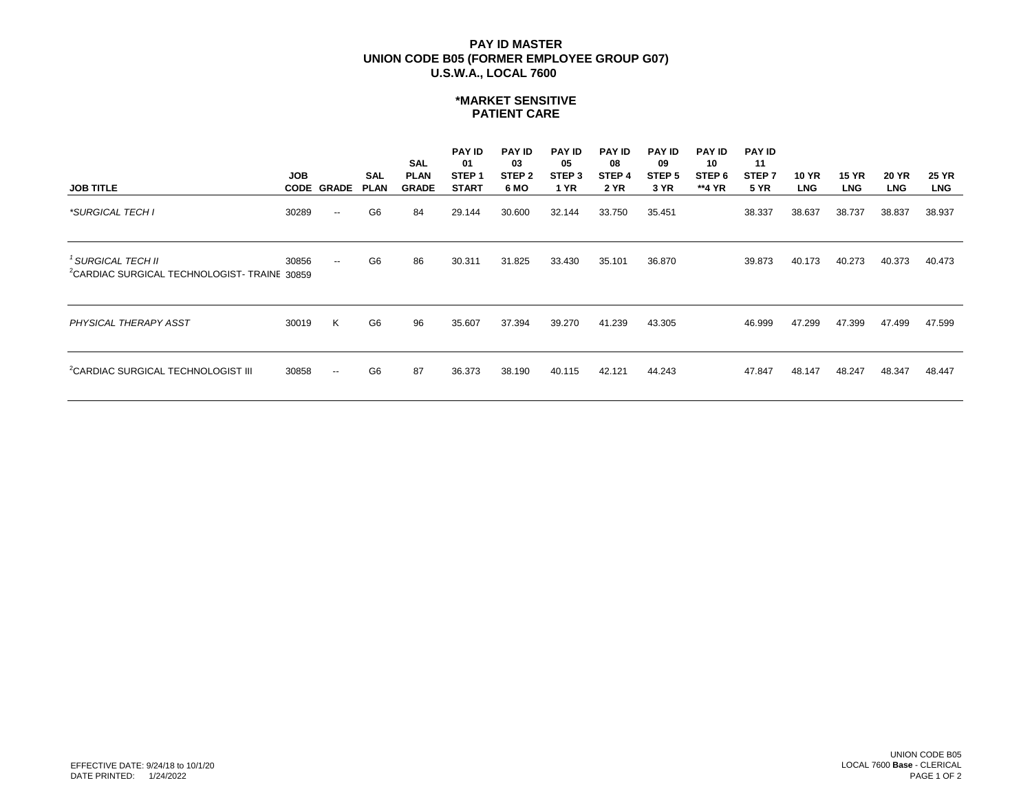# **U.S.W.A., LOCAL 7600 PAY ID MASTER UNION CODE B05 (FORMER EMPLOYEE GROUP G07)**

#### **\*MARKET SENSITIVE PATIENT CARE**

| <b>JOB TITLE</b>                                                             | <b>JOB</b> | <b>CODE GRADE</b>        | <b>SAL</b><br><b>PLAN</b> | SAL<br><b>PLAN</b><br><b>GRADE</b> | <b>PAY ID</b><br>-01<br>STEP <sub>1</sub><br><b>START</b> | <b>PAY ID</b><br>03<br>STEP <sub>2</sub><br>6 MO | <b>PAY ID</b><br>05<br>STEP <sub>3</sub><br><b>1 YR</b> | <b>PAY ID</b><br>08<br>STEP <sub>4</sub><br><b>2 YR</b> | <b>PAY ID</b><br>09<br>STEP <sub>5</sub><br>3 YR | <b>PAY ID</b><br>10<br>STEP 6<br>**4 YR | <b>PAY ID</b><br>11<br>STEP <sub>7</sub><br><b>5 YR</b> | <b>10 YR</b><br><b>LNG</b> | <b>15 YR</b><br><b>LNG</b> | <b>20 YR</b><br><b>LNG</b> | <b>25 YR</b><br><b>LNG</b> |
|------------------------------------------------------------------------------|------------|--------------------------|---------------------------|------------------------------------|-----------------------------------------------------------|--------------------------------------------------|---------------------------------------------------------|---------------------------------------------------------|--------------------------------------------------|-----------------------------------------|---------------------------------------------------------|----------------------------|----------------------------|----------------------------|----------------------------|
| *SURGICAL TECH I                                                             | 30289      | $\overline{\phantom{a}}$ | G <sub>6</sub>            | 84                                 | 29.144                                                    | 30.600                                           | 32.144                                                  | 33.750                                                  | 35.451                                           |                                         | 38.337                                                  | 38.637                     | 38.737                     | 38.837                     | 38.937                     |
| <sup>'</sup> SURGICAL TECH II<br>CARDIAC SURGICAL TECHNOLOGIST- TRAINE 30859 | 30856      | $\overline{\phantom{a}}$ | G <sub>6</sub>            | 86                                 | 30.311                                                    | 31.825                                           | 33.430                                                  | 35.101                                                  | 36.870                                           |                                         | 39.873                                                  | 40.173                     | 40.273                     | 40.373                     | 40.473                     |
| PHYSICAL THERAPY ASST                                                        | 30019      | K                        | G <sub>6</sub>            | 96                                 | 35.607                                                    | 37.394                                           | 39.270                                                  | 41.239                                                  | 43.305                                           |                                         | 46.999                                                  | 47.299                     | 47.399                     | 47.499                     | 47.599                     |
| <sup>2</sup> CARDIAC SURGICAL TECHNOLOGIST III                               | 30858      | $\sim$                   | G <sub>6</sub>            | 87                                 | 36.373                                                    | 38.190                                           | 40.115                                                  | 42.121                                                  | 44.243                                           |                                         | 47.847                                                  | 48.147                     | 48.247                     | 48.347                     | 48.447                     |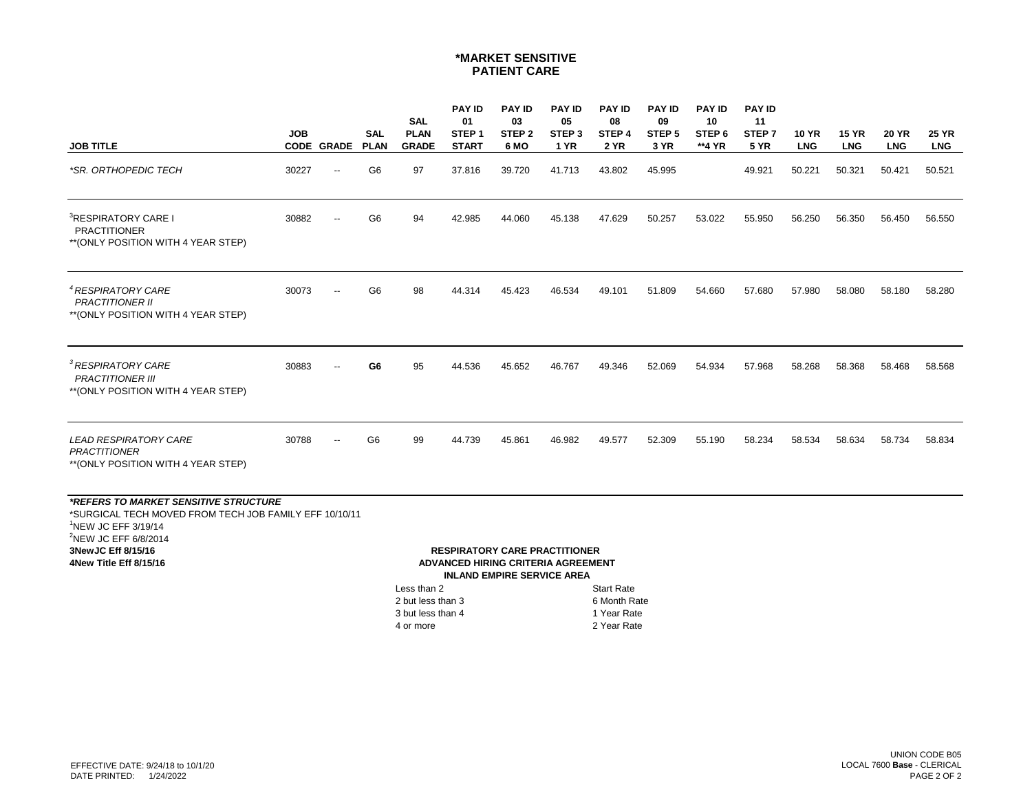## **\*MARKET SENSITIVE PATIENT CARE**

|                                                                                                                                                                                                                | <b>JOB</b> |                          | <b>SAL</b>     | <b>SAL</b><br><b>PLAN</b>                                                | <b>PAY ID</b><br>01<br>STEP <sub>1</sub>                                   | <b>PAY ID</b><br>03<br>STEP <sub>2</sub> | <b>PAY ID</b><br>05<br>STEP <sub>3</sub> | <b>PAY ID</b><br>08<br>STEP <sub>4</sub>                 | <b>PAY ID</b><br>09<br>STEP <sub>5</sub> | <b>PAY ID</b><br>10<br>STEP <sub>6</sub> | <b>PAY ID</b><br>11<br>STEP <sub>7</sub> | <b>10 YR</b> | <b>15 YR</b> | <b>20 YR</b> | <b>25 YR</b> |
|----------------------------------------------------------------------------------------------------------------------------------------------------------------------------------------------------------------|------------|--------------------------|----------------|--------------------------------------------------------------------------|----------------------------------------------------------------------------|------------------------------------------|------------------------------------------|----------------------------------------------------------|------------------------------------------|------------------------------------------|------------------------------------------|--------------|--------------|--------------|--------------|
| <b>JOB TITLE</b>                                                                                                                                                                                               |            | <b>CODE GRADE</b>        | <b>PLAN</b>    | <b>GRADE</b>                                                             | <b>START</b>                                                               | 6 MO                                     | <b>1 YR</b>                              | <b>2 YR</b>                                              | 3 YR                                     | **4 YR                                   | <b>5 YR</b>                              | <b>LNG</b>   | <b>LNG</b>   | <b>LNG</b>   | <b>LNG</b>   |
| *SR. ORTHOPEDIC TECH                                                                                                                                                                                           | 30227      | $\overline{\phantom{a}}$ | G <sub>6</sub> | 97                                                                       | 37.816                                                                     | 39.720                                   | 41.713                                   | 43.802                                                   | 45.995                                   |                                          | 49.921                                   | 50.221       | 50.321       | 50.421       | 50.521       |
| <sup>3</sup> RESPIRATORY CARE I<br><b>PRACTITIONER</b><br>** (ONLY POSITION WITH 4 YEAR STEP)                                                                                                                  | 30882      | --                       | G6             | 94                                                                       | 42.985                                                                     | 44.060                                   | 45.138                                   | 47.629                                                   | 50.257                                   | 53.022                                   | 55.950                                   | 56.250       | 56.350       | 56.450       | 56.550       |
| <sup>4</sup> RESPIRATORY CARE<br><b>PRACTITIONER II</b><br>** (ONLY POSITION WITH 4 YEAR STEP)                                                                                                                 | 30073      | $\overline{\phantom{a}}$ | G <sub>6</sub> | 98                                                                       | 44.314                                                                     | 45.423                                   | 46.534                                   | 49.101                                                   | 51.809                                   | 54.660                                   | 57.680                                   | 57.980       | 58.080       | 58.180       | 58.280       |
| <sup>3</sup> RESPIRATORY CARE<br><b>PRACTITIONER III</b><br>** (ONLY POSITION WITH 4 YEAR STEP)                                                                                                                | 30883      |                          | G6             | 95                                                                       | 44.536                                                                     | 45.652                                   | 46.767                                   | 49.346                                                   | 52.069                                   | 54.934                                   | 57.968                                   | 58.268       | 58.368       | 58.468       | 58.568       |
| <b>LEAD RESPIRATORY CARE</b><br><b>PRACTITIONER</b><br>** (ONLY POSITION WITH 4 YEAR STEP)                                                                                                                     | 30788      | $\overline{\phantom{a}}$ | G <sub>6</sub> | 99                                                                       | 44.739                                                                     | 45.861                                   | 46.982                                   | 49.577                                                   | 52.309                                   | 55.190                                   | 58.234                                   | 58.534       | 58.634       | 58.734       | 58.834       |
| *REFERS TO MARKET SENSITIVE STRUCTURE<br>*SURGICAL TECH MOVED FROM TECH JOB FAMILY EFF 10/10/11<br>$1$ NEW JC EFF 3/19/14<br><sup>2</sup> NEW JC EFF 6/8/2014<br>3New JC Eff 8/15/16<br>4New Title Eff 8/15/16 |            |                          |                | Less than 2<br>2 but less than 3<br>$\Omega$ but lease the set $\Lambda$ | <b>RESPIRATORY CARE PRACTITIONER</b><br>ADVANCED HIRING CRITERIA AGREEMENT | <b>INLAND EMPIRE SERVICE AREA</b>        |                                          | <b>Start Rate</b><br>6 Month Rate<br>$\lambda$ Maps Data |                                          |                                          |                                          |              |              |              |              |

3 but less than 4 1 Year Rate 4 or more 2 Year Rate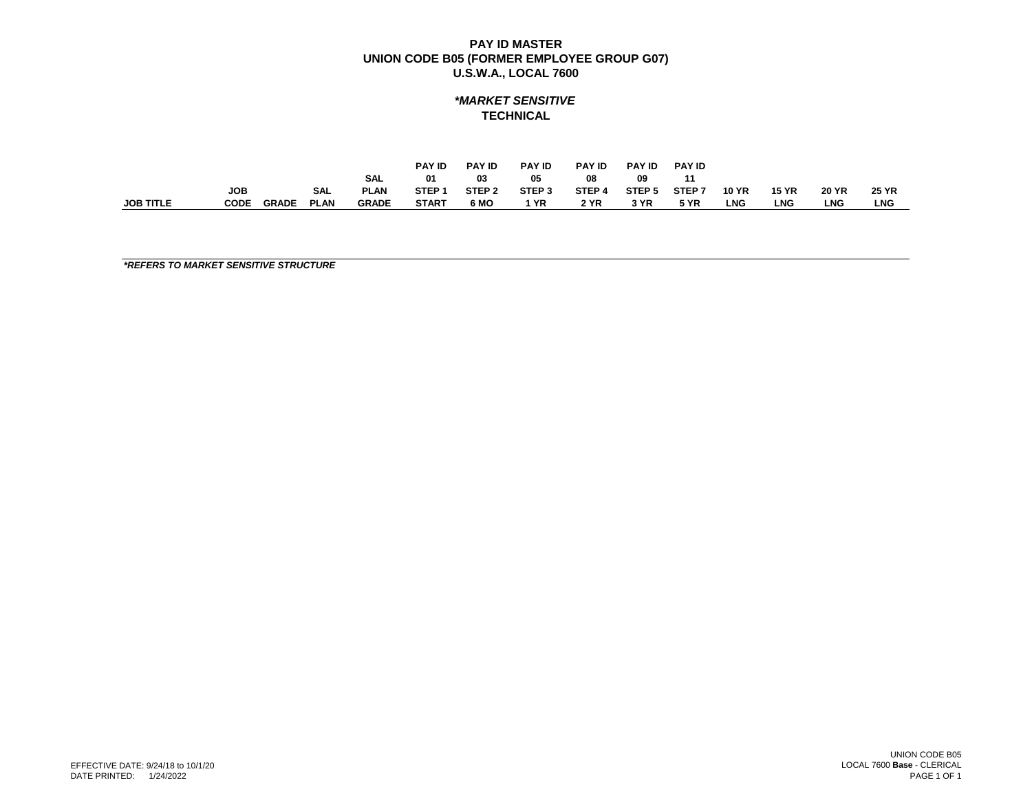# *\*MARKET SENSITIVE* **TECHNICAL**

|                  |             |              |             |              | <b>PAY ID</b>     | <b>PAY ID</b>     | <b>PAY ID</b>     | <b>PAY ID</b> | <b>PAY ID</b> | <b>PAY ID</b>     |              |              |              |              |
|------------------|-------------|--------------|-------------|--------------|-------------------|-------------------|-------------------|---------------|---------------|-------------------|--------------|--------------|--------------|--------------|
|                  |             |              |             | <b>SAL</b>   | 01                | 03                | 05                | 08            | -09           | 11                |              |              |              |              |
|                  | <b>JOB</b>  |              | <b>SAL</b>  | <b>PLAN</b>  | STEP <sub>1</sub> | STEP <sub>2</sub> | STEP <sub>3</sub> | STEP 4        | STEP 5        | STEP <sub>7</sub> | <b>10 YR</b> | <b>15 YR</b> | <b>20 YR</b> | <b>25 YR</b> |
| <b>JOB TITLE</b> | <b>CODE</b> | <b>GRADE</b> | <b>PLAN</b> | <b>GRADE</b> | <b>START</b>      | 6 MO              | 1 YR              | 2 YR          | 3 YR          | <b>5 YR</b>       | LNG          | LNG          | <b>LNG</b>   | <b>LNG</b>   |

*\*REFERS TO MARKET SENSITIVE STRUCTURE*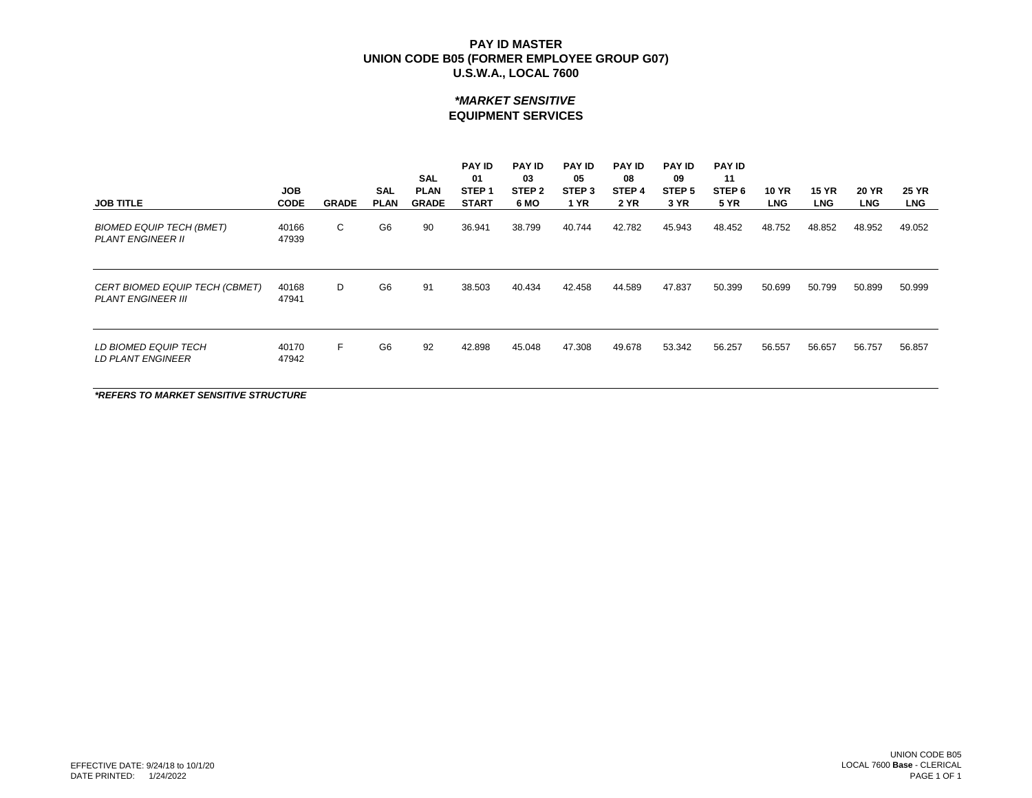## *\*MARKET SENSITIVE* **EQUIPMENT SERVICES**

| <b>JOB TITLE</b>                                                   | <b>JOB</b><br><b>CODE</b> | <b>GRADE</b> | <b>SAL</b><br><b>PLAN</b> | <b>SAL</b><br><b>PLAN</b><br><b>GRADE</b> | <b>PAY ID</b><br>01<br>STEP <sub>1</sub><br><b>START</b> | <b>PAY ID</b><br>03<br>STEP <sub>2</sub><br>6 MO | <b>PAY ID</b><br>05<br>STEP <sub>3</sub><br><b>1 YR</b> | <b>PAY ID</b><br>08<br>STEP <sub>4</sub><br><b>2 YR</b> | <b>PAY ID</b><br>09<br>STEP <sub>5</sub><br>3 YR | <b>PAY ID</b><br>11<br>STEP <sub>6</sub><br><b>5 YR</b> | <b>10 YR</b><br><b>LNG</b> | <b>15 YR</b><br><b>LNG</b> | <b>20 YR</b><br><b>LNG</b> | <b>25 YR</b><br><b>LNG</b> |
|--------------------------------------------------------------------|---------------------------|--------------|---------------------------|-------------------------------------------|----------------------------------------------------------|--------------------------------------------------|---------------------------------------------------------|---------------------------------------------------------|--------------------------------------------------|---------------------------------------------------------|----------------------------|----------------------------|----------------------------|----------------------------|
| <b>BIOMED EQUIP TECH (BMET)</b><br><b>PLANT ENGINEER II</b>        | 40166<br>47939            | C            | G <sub>6</sub>            | 90                                        | 36.941                                                   | 38.799                                           | 40.744                                                  | 42.782                                                  | 45.943                                           | 48.452                                                  | 48.752                     | 48.852                     | 48.952                     | 49.052                     |
| <b>CERT BIOMED EQUIP TECH (CBMET)</b><br><b>PLANT ENGINEER III</b> | 40168<br>47941            | D            | G <sub>6</sub>            | 91                                        | 38.503                                                   | 40.434                                           | 42.458                                                  | 44.589                                                  | 47.837                                           | 50.399                                                  | 50.699                     | 50.799                     | 50.899                     | 50.999                     |
| LD BIOMED EQUIP TECH<br><b>LD PLANT ENGINEER</b>                   | 40170<br>47942            | F.           | G <sub>6</sub>            | 92                                        | 42.898                                                   | 45.048                                           | 47.308                                                  | 49.678                                                  | 53.342                                           | 56.257                                                  | 56.557                     | 56.657                     | 56.757                     | 56.857                     |

*\*REFERS TO MARKET SENSITIVE STRUCTURE*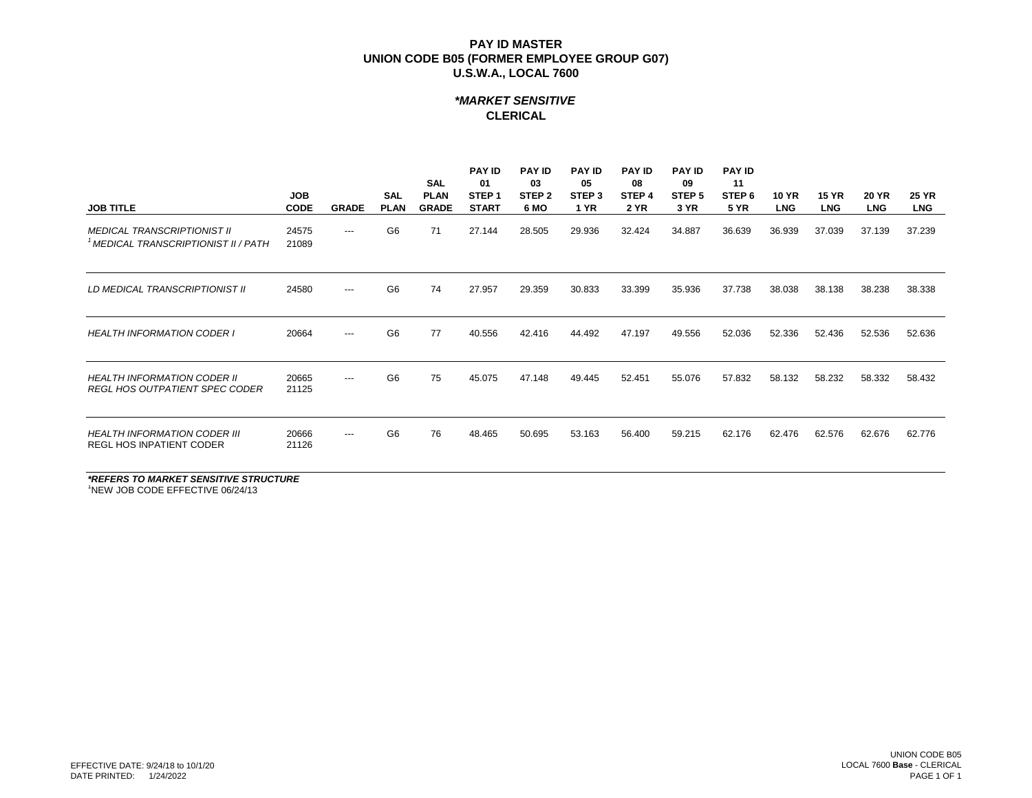## *\*MARKET SENSITIVE* **CLERICAL**

| <b>JOB TITLE</b>                                                                      | <b>JOB</b><br><b>CODE</b> | <b>GRADE</b> | <b>SAL</b><br><b>PLAN</b> | <b>SAL</b><br><b>PLAN</b><br><b>GRADE</b> | <b>PAY ID</b><br>01<br>STEP <sub>1</sub><br><b>START</b> | <b>PAY ID</b><br>03<br>STEP <sub>2</sub><br>6 MO | <b>PAY ID</b><br>05<br>STEP <sub>3</sub><br><b>1 YR</b> | <b>PAY ID</b><br>08<br>STEP 4<br><b>2 YR</b> | <b>PAY ID</b><br>09<br>STEP <sub>5</sub><br>3 YR | <b>PAY ID</b><br>11<br>STEP <sub>6</sub><br><b>5 YR</b> | <b>10 YR</b><br><b>LNG</b> | <b>15 YR</b><br><b>LNG</b> | <b>20 YR</b><br><b>LNG</b> | <b>25 YR</b><br><b>LNG</b> |
|---------------------------------------------------------------------------------------|---------------------------|--------------|---------------------------|-------------------------------------------|----------------------------------------------------------|--------------------------------------------------|---------------------------------------------------------|----------------------------------------------|--------------------------------------------------|---------------------------------------------------------|----------------------------|----------------------------|----------------------------|----------------------------|
| <b>MEDICAL TRANSCRIPTIONIST II</b><br><sup>1</sup> MEDICAL TRANSCRIPTIONIST II / PATH | 24575<br>21089            | $---$        | G <sub>6</sub>            | 71                                        | 27.144                                                   | 28.505                                           | 29.936                                                  | 32.424                                       | 34.887                                           | 36.639                                                  | 36.939                     | 37.039                     | 37.139                     | 37.239                     |
| LD MEDICAL TRANSCRIPTIONIST II                                                        | 24580                     | $---$        | G <sub>6</sub>            | 74                                        | 27.957                                                   | 29.359                                           | 30.833                                                  | 33.399                                       | 35.936                                           | 37.738                                                  | 38.038                     | 38.138                     | 38.238                     | 38.338                     |
| <b>HEALTH INFORMATION CODER I</b>                                                     | 20664                     | $---$        | G <sub>6</sub>            | 77                                        | 40.556                                                   | 42.416                                           | 44.492                                                  | 47.197                                       | 49.556                                           | 52.036                                                  | 52.336                     | 52.436                     | 52.536                     | 52.636                     |
| <b>HEALTH INFORMATION CODER II</b><br><b>REGL HOS OUTPATIENT SPEC CODER</b>           | 20665<br>21125            | $---$        | G <sub>6</sub>            | 75                                        | 45.075                                                   | 47.148                                           | 49.445                                                  | 52.451                                       | 55.076                                           | 57.832                                                  | 58.132                     | 58.232                     | 58.332                     | 58.432                     |
| <b>HEALTH INFORMATION CODER III</b><br><b>REGL HOS INPATIENT CODER</b>                | 20666<br>21126            | $---$        | G <sub>6</sub>            | 76                                        | 48.465                                                   | 50.695                                           | 53.163                                                  | 56.400                                       | 59.215                                           | 62.176                                                  | 62.476                     | 62.576                     | 62.676                     | 62.776                     |

*\*REFERS TO MARKET SENSITIVE STRUCTURE* <sup>1</sup>NEW JOB CODE EFFECTIVE 06/24/13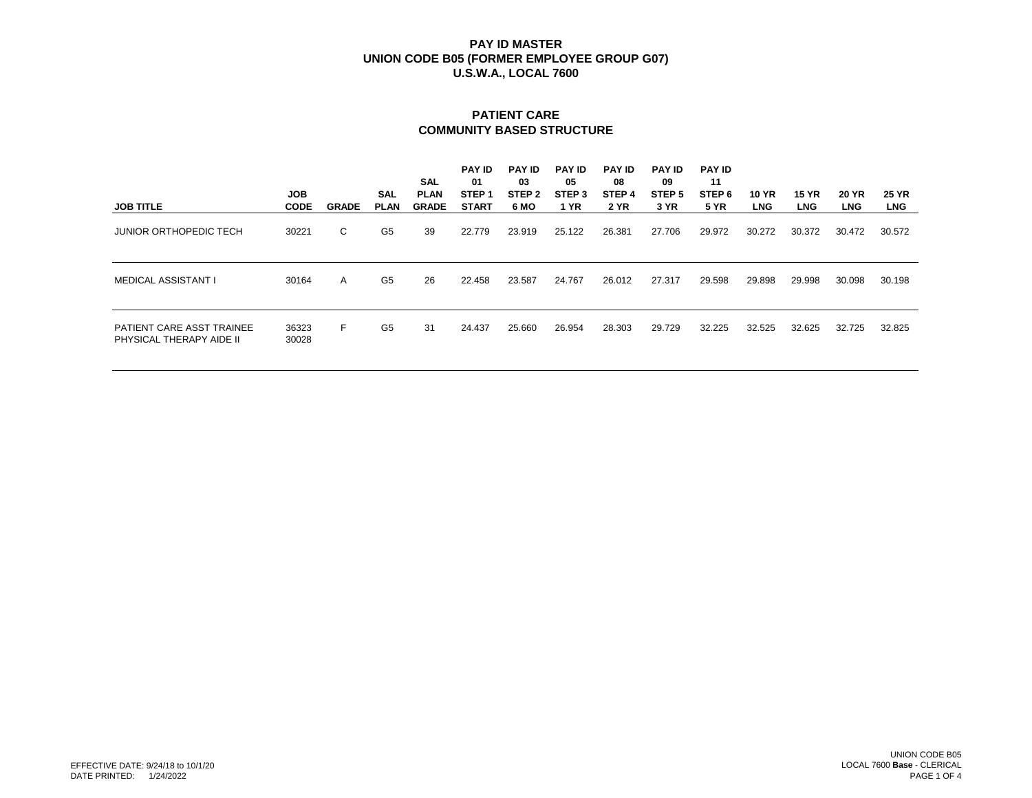# **PATIENT CARE COMMUNITY BASED STRUCTURE**

| <b>JOB TITLE</b>                                      | <b>JOB</b><br><b>CODE</b> | <b>GRADE</b> | <b>SAL</b><br><b>PLAN</b> | SAL<br><b>PLAN</b><br><b>GRADE</b> | <b>PAY ID</b><br>01<br>STEP <sub>1</sub><br><b>START</b> | <b>PAY ID</b><br>03<br>STEP <sub>2</sub><br>6 MO | <b>PAY ID</b><br>05<br>STEP <sub>3</sub><br>1 YR | <b>PAY ID</b><br>08<br>STEP 4<br><b>2 YR</b> | <b>PAY ID</b><br>09<br>STEP <sub>5</sub><br>3 YR | <b>PAY ID</b><br>11<br>STEP 6<br><b>5 YR</b> | <b>10 YR</b><br><b>LNG</b> | <b>15 YR</b><br><b>LNG</b> | <b>20 YR</b><br><b>LNG</b> | <b>25 YR</b><br><b>LNG</b> |
|-------------------------------------------------------|---------------------------|--------------|---------------------------|------------------------------------|----------------------------------------------------------|--------------------------------------------------|--------------------------------------------------|----------------------------------------------|--------------------------------------------------|----------------------------------------------|----------------------------|----------------------------|----------------------------|----------------------------|
| <b>JUNIOR ORTHOPEDIC TECH</b>                         | 30221                     | C            | G5                        | 39                                 | 22.779                                                   | 23.919                                           | 25.122                                           | 26.381                                       | 27.706                                           | 29.972                                       | 30.272                     | 30.372                     | 30.472                     | 30.572                     |
| <b>MEDICAL ASSISTANT I</b>                            | 30164                     | A            | G <sub>5</sub>            | 26                                 | 22.458                                                   | 23.587                                           | 24.767                                           | 26.012                                       | 27.317                                           | 29.598                                       | 29.898                     | 29.998                     | 30.098                     | 30.198                     |
| PATIENT CARE ASST TRAINEE<br>PHYSICAL THERAPY AIDE II | 36323<br>30028            | F.           | G <sub>5</sub>            | 31                                 | 24.437                                                   | 25.660                                           | 26.954                                           | 28.303                                       | 29.729                                           | 32.225                                       | 32.525                     | 32.625                     | 32.725                     | 32.825                     |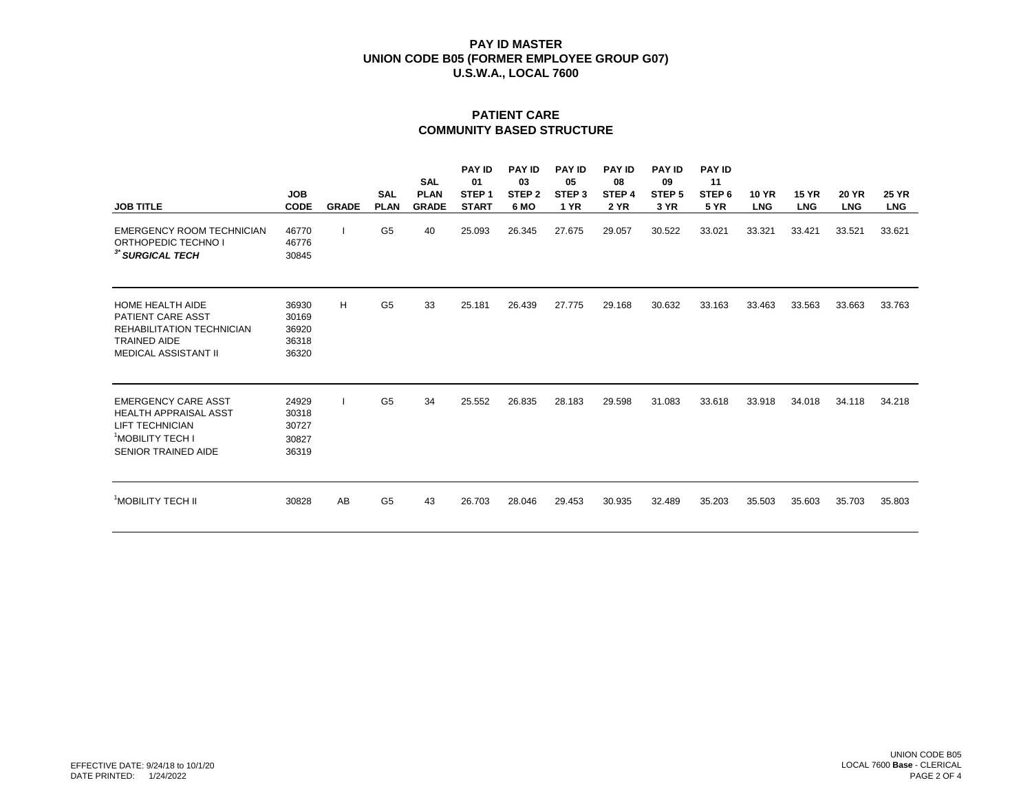# **PATIENT CARE COMMUNITY BASED STRUCTURE**

| <b>JOB TITLE</b>                                                                                                                                   | <b>JOB</b><br><b>CODE</b>                 | <b>GRADE</b> | <b>SAL</b><br><b>PLAN</b> | <b>SAL</b><br><b>PLAN</b><br><b>GRADE</b> | <b>PAY ID</b><br>01<br>STEP <sub>1</sub><br><b>START</b> | <b>PAY ID</b><br>03<br>STEP <sub>2</sub><br>6 MO | <b>PAY ID</b><br>05<br>STEP <sub>3</sub><br><b>1 YR</b> | <b>PAY ID</b><br>08<br>STEP <sub>4</sub><br><b>2 YR</b> | <b>PAY ID</b><br>09<br>STEP <sub>5</sub><br>3 YR | <b>PAY ID</b><br>11<br>STEP <sub>6</sub><br><b>5 YR</b> | <b>10 YR</b><br><b>LNG</b> | <b>15 YR</b><br><b>LNG</b> | <b>20 YR</b><br><b>LNG</b> | <b>25 YR</b><br><b>LNG</b> |
|----------------------------------------------------------------------------------------------------------------------------------------------------|-------------------------------------------|--------------|---------------------------|-------------------------------------------|----------------------------------------------------------|--------------------------------------------------|---------------------------------------------------------|---------------------------------------------------------|--------------------------------------------------|---------------------------------------------------------|----------------------------|----------------------------|----------------------------|----------------------------|
| <b>EMERGENCY ROOM TECHNICIAN</b><br>ORTHOPEDIC TECHNO I<br><sup>3*</sup> SURGICAL TECH                                                             | 46770<br>46776<br>30845                   |              | G <sub>5</sub>            | 40                                        | 25.093                                                   | 26.345                                           | 27.675                                                  | 29.057                                                  | 30.522                                           | 33.021                                                  | 33.321                     | 33.421                     | 33.521                     | 33.621                     |
| <b>HOME HEALTH AIDE</b><br><b>PATIENT CARE ASST</b><br>REHABILITATION TECHNICIAN<br><b>TRAINED AIDE</b><br><b>MEDICAL ASSISTANT II</b>             | 36930<br>30169<br>36920<br>36318<br>36320 | H            | G <sub>5</sub>            | 33                                        | 25.181                                                   | 26.439                                           | 27.775                                                  | 29.168                                                  | 30.632                                           | 33.163                                                  | 33.463                     | 33.563                     | 33.663                     | 33.763                     |
| <b>EMERGENCY CARE ASST</b><br><b>HEALTH APPRAISAL ASST</b><br><b>LIFT TECHNICIAN</b><br><sup>1</sup> MOBILITY TECH I<br><b>SENIOR TRAINED AIDE</b> | 24929<br>30318<br>30727<br>30827<br>36319 |              | G <sub>5</sub>            | 34                                        | 25.552                                                   | 26.835                                           | 28.183                                                  | 29.598                                                  | 31.083                                           | 33.618                                                  | 33.918                     | 34.018                     | 34.118                     | 34.218                     |
| <sup>1</sup> MOBILITY TECH II                                                                                                                      | 30828                                     | AB           | G <sub>5</sub>            | 43                                        | 26.703                                                   | 28.046                                           | 29.453                                                  | 30.935                                                  | 32.489                                           | 35.203                                                  | 35.503                     | 35.603                     | 35.703                     | 35.803                     |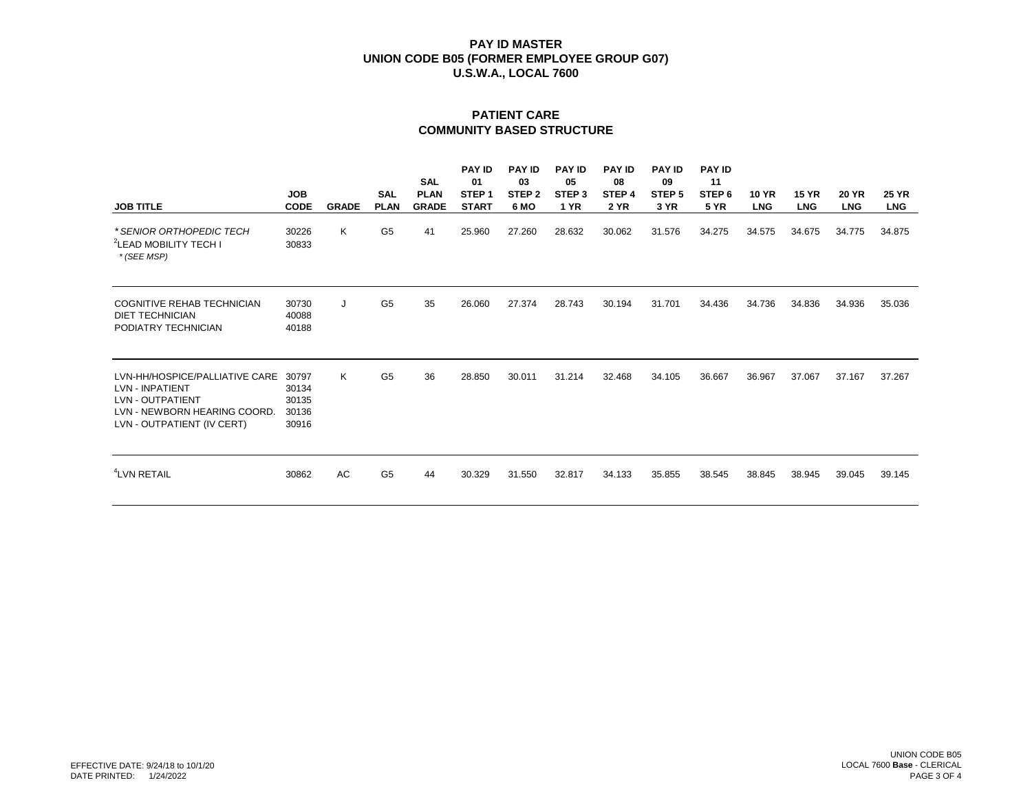# **PATIENT CARE COMMUNITY BASED STRUCTURE**

| <b>JOB TITLE</b>                                                                                                                                  | <b>JOB</b><br><b>CODE</b>                 | <b>GRADE</b> | <b>SAL</b><br><b>PLAN</b> | <b>SAL</b><br><b>PLAN</b><br><b>GRADE</b> | <b>PAY ID</b><br>01<br>STEP <sub>1</sub><br><b>START</b> | <b>PAY ID</b><br>03<br>STEP <sub>2</sub><br>6 MO | <b>PAY ID</b><br>05<br>STEP <sub>3</sub><br><b>1 YR</b> | <b>PAY ID</b><br>08<br>STEP <sub>4</sub><br>2 YR | <b>PAY ID</b><br>09<br>STEP <sub>5</sub><br>3 YR | <b>PAY ID</b><br>11<br>STEP <sub>6</sub><br><b>5 YR</b> | <b>10 YR</b><br><b>LNG</b> | <b>15 YR</b><br><b>LNG</b> | <b>20 YR</b><br><b>LNG</b> | <b>25 YR</b><br><b>LNG</b> |
|---------------------------------------------------------------------------------------------------------------------------------------------------|-------------------------------------------|--------------|---------------------------|-------------------------------------------|----------------------------------------------------------|--------------------------------------------------|---------------------------------------------------------|--------------------------------------------------|--------------------------------------------------|---------------------------------------------------------|----------------------------|----------------------------|----------------------------|----------------------------|
| * SENIOR ORTHOPEDIC TECH<br><sup>2</sup> LEAD MOBILITY TECH I<br>* (SEE MSP)                                                                      | 30226<br>30833                            | K            | G <sub>5</sub>            | 41                                        | 25.960                                                   | 27.260                                           | 28.632                                                  | 30.062                                           | 31.576                                           | 34.275                                                  | 34.575                     | 34.675                     | 34.775                     | 34.875                     |
| <b>COGNITIVE REHAB TECHNICIAN</b><br><b>DIET TECHNICIAN</b><br>PODIATRY TECHNICIAN                                                                | 30730<br>40088<br>40188                   | J            | G <sub>5</sub>            | 35                                        | 26.060                                                   | 27.374                                           | 28.743                                                  | 30.194                                           | 31.701                                           | 34.436                                                  | 34.736                     | 34.836                     | 34.936                     | 35.036                     |
| LVN-HH/HOSPICE/PALLIATIVE CARE<br><b>LVN - INPATIENT</b><br><b>LVN - OUTPATIENT</b><br>LVN - NEWBORN HEARING COORD.<br>LVN - OUTPATIENT (IV CERT) | 30797<br>30134<br>30135<br>30136<br>30916 | K            | G <sub>5</sub>            | 36                                        | 28.850                                                   | 30.011                                           | 31.214                                                  | 32.468                                           | 34.105                                           | 36.667                                                  | 36.967                     | 37.067                     | 37.167                     | 37.267                     |
| <sup>4</sup> LVN RETAIL                                                                                                                           | 30862                                     | AC           | G <sub>5</sub>            | 44                                        | 30.329                                                   | 31.550                                           | 32.817                                                  | 34.133                                           | 35.855                                           | 38.545                                                  | 38.845                     | 38.945                     | 39.045                     | 39.145                     |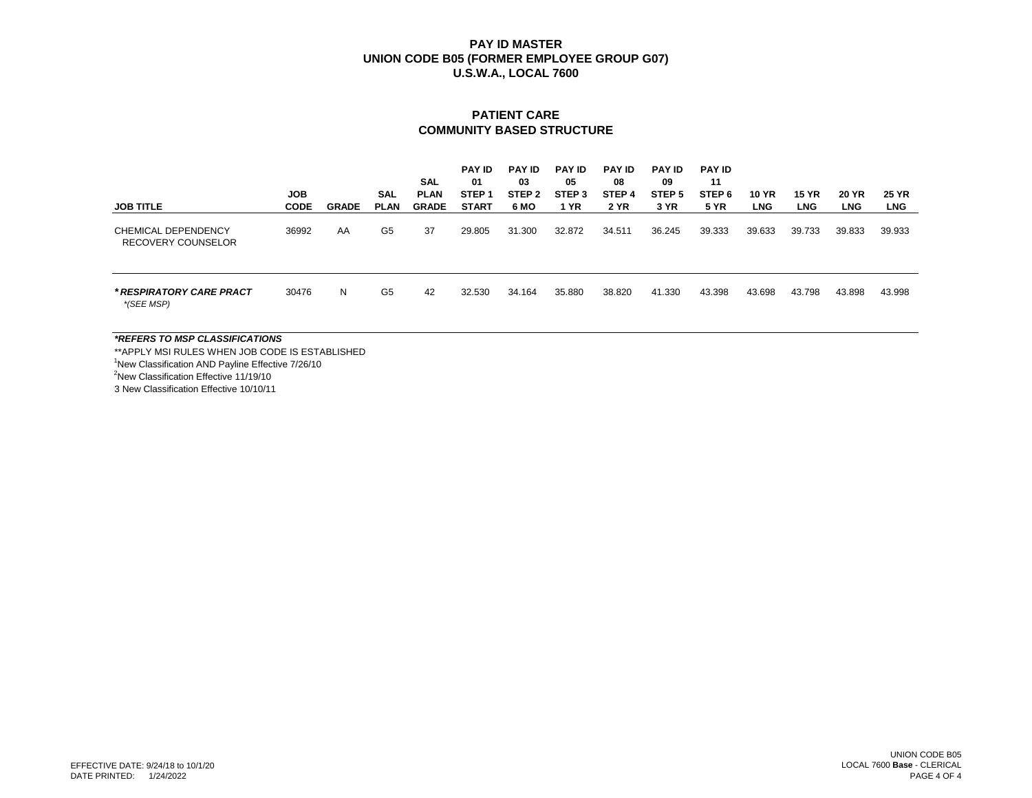#### **PATIENT CARE COMMUNITY BASED STRUCTURE**

| <b>JOB TITLE</b>                          | <b>JOB</b><br><b>CODE</b> | <b>GRADE</b> | SAL<br><b>PLAN</b> | SAL<br><b>PLAN</b><br><b>GRADE</b> | <b>PAY ID</b><br>01<br>STEP <sub>1</sub><br><b>START</b> | <b>PAY ID</b><br>03<br>STEP <sub>2</sub><br>6 MO | <b>PAY ID</b><br>05<br>STEP <sub>3</sub><br><b>1 YR</b> | <b>PAY ID</b><br>08<br>STEP 4<br><b>2 YR</b> | <b>PAY ID</b><br>09<br>STEP <sub>5</sub><br>3 YR | <b>PAY ID</b><br>11<br>STEP <sub>6</sub><br><b>5 YR</b> | <b>10 YR</b><br><b>LNG</b> | <b>15 YR</b><br><b>LNG</b> | <b>20 YR</b><br><b>LNG</b> | <b>25 YR</b><br><b>LNG</b> |
|-------------------------------------------|---------------------------|--------------|--------------------|------------------------------------|----------------------------------------------------------|--------------------------------------------------|---------------------------------------------------------|----------------------------------------------|--------------------------------------------------|---------------------------------------------------------|----------------------------|----------------------------|----------------------------|----------------------------|
| CHEMICAL DEPENDENCY<br>RECOVERY COUNSELOR | 36992                     | AA           | G <sub>5</sub>     | 37                                 | 29.805                                                   | 31.300                                           | 32.872                                                  | 34.511                                       | 36.245                                           | 39.333                                                  | 39.633                     | 39.733                     | 39.833                     | 39.933                     |
| * RESPIRATORY CARE PRACT<br>*(SEE MSP)    | 30476                     | N            | G <sub>5</sub>     | 42                                 | 32.530                                                   | 34.164                                           | 35.880                                                  | 38.820                                       | 41.330                                           | 43.398                                                  | 43.698                     | 43.798                     | 43.898                     | 43.998                     |
| *REFERS TO MSP CLASSIFICATIONS            |                           |              |                    |                                    |                                                          |                                                  |                                                         |                                              |                                                  |                                                         |                            |                            |                            |                            |

\*\*APPLY MSI RULES WHEN JOB CODE IS ESTABLISHED <sup>1</sup>New Classification AND Payline Effective 7/26/10 <sup>2</sup>New Classification Effective 11/19/10 3 New Classification Effective 10/10/11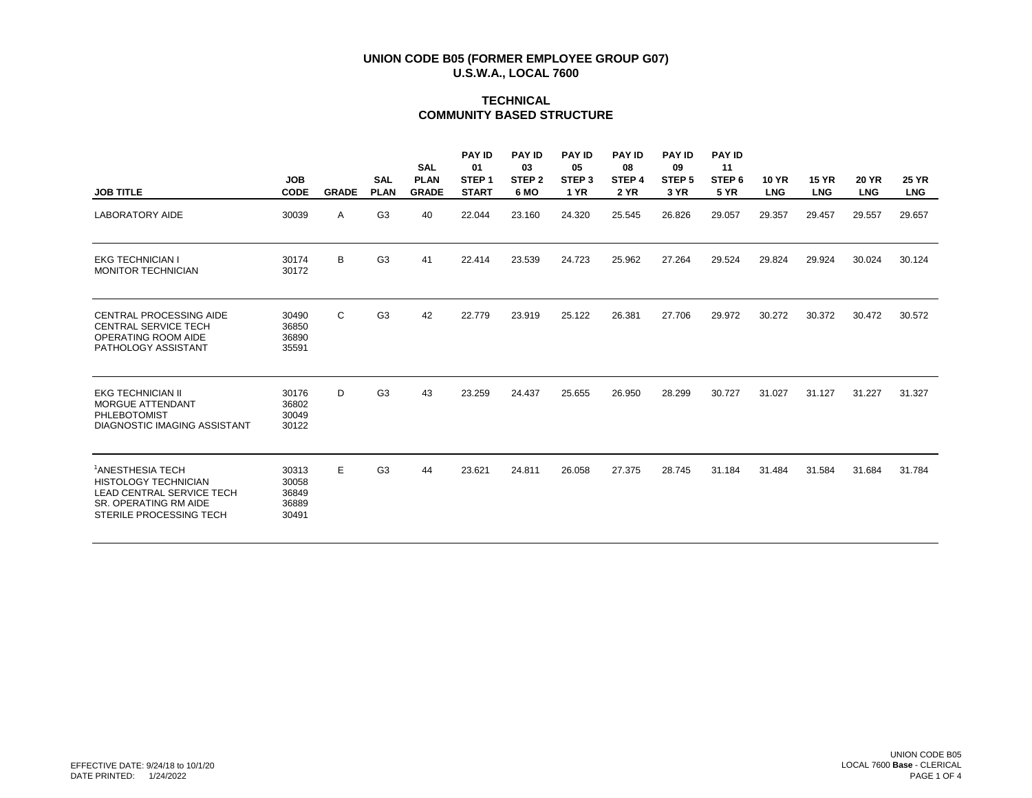## **TECHNICAL COMMUNITY BASED STRUCTURE**

| <b>JOB TITLE</b>                                                                                                                             | <b>JOB</b><br><b>CODE</b>                 | <b>GRADE</b> | <b>SAL</b><br><b>PLAN</b> | <b>SAL</b><br><b>PLAN</b><br><b>GRADE</b> | <b>PAY ID</b><br>01<br>STEP <sub>1</sub><br><b>START</b> | <b>PAY ID</b><br>03<br>STEP <sub>2</sub><br>6 MO | <b>PAY ID</b><br>05<br>STEP <sub>3</sub><br><b>1 YR</b> | <b>PAY ID</b><br>08<br>STEP <sub>4</sub><br><b>2 YR</b> | <b>PAY ID</b><br>09<br>STEP <sub>5</sub><br>3 YR | <b>PAY ID</b><br>11<br>STEP <sub>6</sub><br><b>5 YR</b> | <b>10 YR</b><br><b>LNG</b> | <b>15 YR</b><br><b>LNG</b> | <b>20 YR</b><br><b>LNG</b> | <b>25 YR</b><br><b>LNG</b> |
|----------------------------------------------------------------------------------------------------------------------------------------------|-------------------------------------------|--------------|---------------------------|-------------------------------------------|----------------------------------------------------------|--------------------------------------------------|---------------------------------------------------------|---------------------------------------------------------|--------------------------------------------------|---------------------------------------------------------|----------------------------|----------------------------|----------------------------|----------------------------|
| <b>LABORATORY AIDE</b>                                                                                                                       | 30039                                     | A            | G <sub>3</sub>            | 40                                        | 22.044                                                   | 23.160                                           | 24.320                                                  | 25.545                                                  | 26.826                                           | 29.057                                                  | 29.357                     | 29.457                     | 29.557                     | 29.657                     |
| <b>EKG TECHNICIAN I</b><br><b>MONITOR TECHNICIAN</b>                                                                                         | 30174<br>30172                            | В            | G <sub>3</sub>            | 41                                        | 22.414                                                   | 23.539                                           | 24.723                                                  | 25.962                                                  | 27.264                                           | 29.524                                                  | 29.824                     | 29.924                     | 30.024                     | 30.124                     |
| <b>CENTRAL PROCESSING AIDE</b><br><b>CENTRAL SERVICE TECH</b><br>OPERATING ROOM AIDE<br>PATHOLOGY ASSISTANT                                  | 30490<br>36850<br>36890<br>35591          | C            | G <sub>3</sub>            | 42                                        | 22.779                                                   | 23.919                                           | 25.122                                                  | 26.381                                                  | 27.706                                           | 29.972                                                  | 30.272                     | 30.372                     | 30.472                     | 30.572                     |
| <b>EKG TECHNICIAN II</b><br><b>MORGUE ATTENDANT</b><br>PHLEBOTOMIST<br><b>DIAGNOSTIC IMAGING ASSISTANT</b>                                   | 30176<br>36802<br>30049<br>30122          | D            | G <sub>3</sub>            | 43                                        | 23.259                                                   | 24.437                                           | 25.655                                                  | 26.950                                                  | 28.299                                           | 30.727                                                  | 31.027                     | 31.127                     | 31.227                     | 31.327                     |
| <sup>1</sup> ANESTHESIA TECH<br><b>HISTOLOGY TECHNICIAN</b><br>LEAD CENTRAL SERVICE TECH<br>SR. OPERATING RM AIDE<br>STERILE PROCESSING TECH | 30313<br>30058<br>36849<br>36889<br>30491 | E            | G <sub>3</sub>            | 44                                        | 23.621                                                   | 24.811                                           | 26.058                                                  | 27.375                                                  | 28.745                                           | 31.184                                                  | 31.484                     | 31.584                     | 31.684                     | 31.784                     |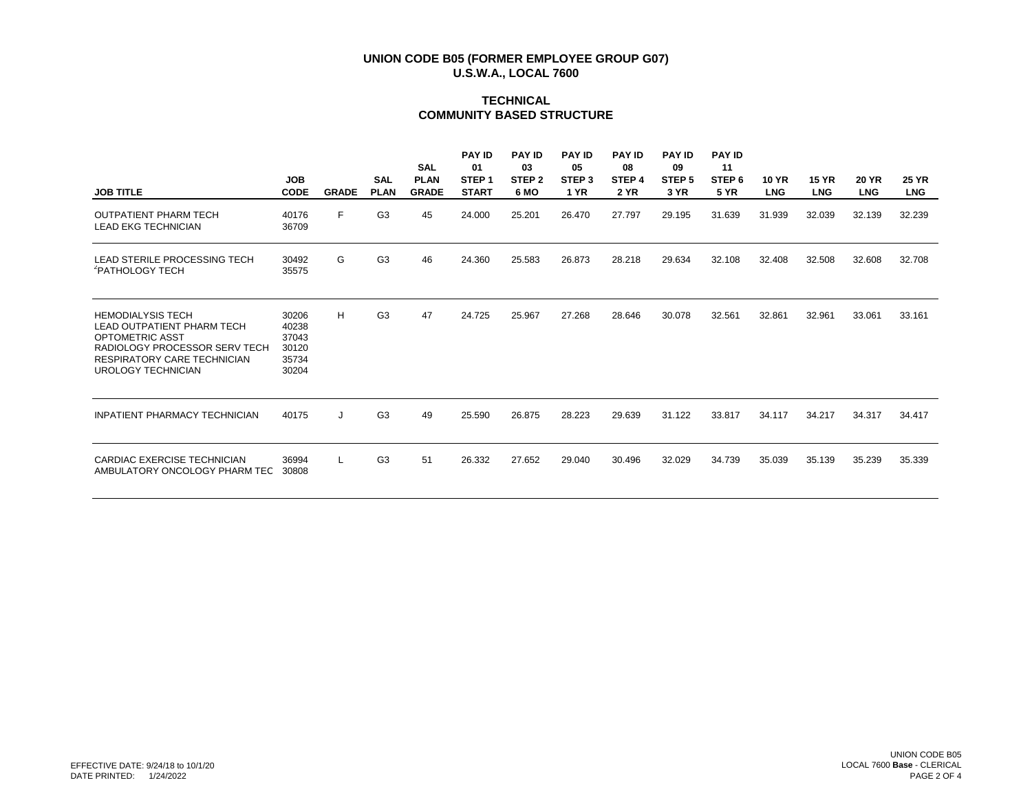# **TECHNICAL COMMUNITY BASED STRUCTURE**

| <b>JOB TITLE</b>                                                                                                                                                              | <b>JOB</b><br><b>CODE</b>                          | <b>GRADE</b> | <b>SAL</b><br><b>PLAN</b> | <b>SAL</b><br><b>PLAN</b><br><b>GRADE</b> | <b>PAY ID</b><br>01<br>STEP <sub>1</sub><br><b>START</b> | <b>PAY ID</b><br>03<br>STEP <sub>2</sub><br>6 MO | <b>PAY ID</b><br>05<br>STEP <sub>3</sub><br><b>1 YR</b> | <b>PAY ID</b><br>08<br>STEP <sub>4</sub><br><b>2 YR</b> | <b>PAY ID</b><br>09<br>STEP <sub>5</sub><br>3 YR | <b>PAY ID</b><br>11<br>STEP 6<br><b>5 YR</b> | <b>10 YR</b><br><b>LNG</b> | <b>15 YR</b><br><b>LNG</b> | <b>20 YR</b><br><b>LNG</b> | <b>25 YR</b><br><b>LNG</b> |
|-------------------------------------------------------------------------------------------------------------------------------------------------------------------------------|----------------------------------------------------|--------------|---------------------------|-------------------------------------------|----------------------------------------------------------|--------------------------------------------------|---------------------------------------------------------|---------------------------------------------------------|--------------------------------------------------|----------------------------------------------|----------------------------|----------------------------|----------------------------|----------------------------|
| <b>OUTPATIENT PHARM TECH</b><br><b>LEAD EKG TECHNICIAN</b>                                                                                                                    | 40176<br>36709                                     | F.           | G <sub>3</sub>            | 45                                        | 24.000                                                   | 25.201                                           | 26.470                                                  | 27.797                                                  | 29.195                                           | 31.639                                       | 31.939                     | 32.039                     | 32.139                     | 32.239                     |
| LEAD STERILE PROCESSING TECH<br><sup>2</sup> PATHOLOGY TECH                                                                                                                   | 30492<br>35575                                     | G            | G <sub>3</sub>            | 46                                        | 24.360                                                   | 25.583                                           | 26.873                                                  | 28.218                                                  | 29.634                                           | 32.108                                       | 32.408                     | 32.508                     | 32.608                     | 32.708                     |
| <b>HEMODIALYSIS TECH</b><br>LEAD OUTPATIENT PHARM TECH<br>OPTOMETRIC ASST<br>RADIOLOGY PROCESSOR SERV TECH<br><b>RESPIRATORY CARE TECHNICIAN</b><br><b>UROLOGY TECHNICIAN</b> | 30206<br>40238<br>37043<br>30120<br>35734<br>30204 | н            | G <sub>3</sub>            | 47                                        | 24.725                                                   | 25.967                                           | 27.268                                                  | 28.646                                                  | 30.078                                           | 32.561                                       | 32.861                     | 32.961                     | 33.061                     | 33.161                     |
| <b>INPATIENT PHARMACY TECHNICIAN</b>                                                                                                                                          | 40175                                              | J            | G <sub>3</sub>            | 49                                        | 25.590                                                   | 26.875                                           | 28.223                                                  | 29.639                                                  | 31.122                                           | 33.817                                       | 34.117                     | 34.217                     | 34.317                     | 34.417                     |
| CARDIAC EXERCISE TECHNICIAN<br>AMBULATORY ONCOLOGY PHARM TEC                                                                                                                  | 36994<br>30808                                     | L            | G <sub>3</sub>            | 51                                        | 26.332                                                   | 27.652                                           | 29.040                                                  | 30.496                                                  | 32.029                                           | 34.739                                       | 35.039                     | 35.139                     | 35.239                     | 35.339                     |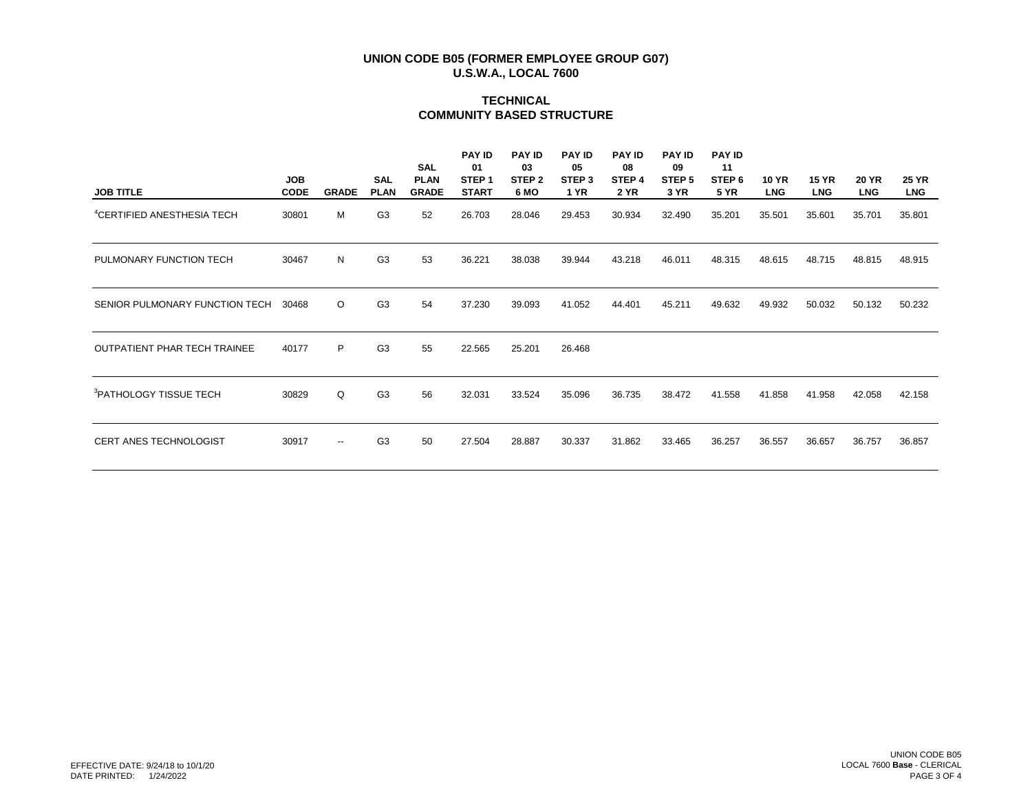# **TECHNICAL COMMUNITY BASED STRUCTURE**

| <b>JOB TITLE</b>                       | <b>JOB</b><br><b>CODE</b> | <b>GRADE</b>             | <b>SAL</b><br><b>PLAN</b> | <b>SAL</b><br><b>PLAN</b><br><b>GRADE</b> | <b>PAY ID</b><br>01<br>STEP <sub>1</sub><br><b>START</b> | <b>PAY ID</b><br>03<br>STEP <sub>2</sub><br>6 MO | <b>PAY ID</b><br>05<br>STEP <sub>3</sub><br><b>1 YR</b> | <b>PAY ID</b><br>08<br>STEP 4<br><b>2 YR</b> | <b>PAY ID</b><br>09<br>STEP <sub>5</sub><br>3 YR | <b>PAY ID</b><br>11<br>STEP 6<br><b>5 YR</b> | <b>10 YR</b><br><b>LNG</b> | <b>15 YR</b><br><b>LNG</b> | <b>20 YR</b><br><b>LNG</b> | <b>25 YR</b><br><b>LNG</b> |
|----------------------------------------|---------------------------|--------------------------|---------------------------|-------------------------------------------|----------------------------------------------------------|--------------------------------------------------|---------------------------------------------------------|----------------------------------------------|--------------------------------------------------|----------------------------------------------|----------------------------|----------------------------|----------------------------|----------------------------|
| <sup>4</sup> CERTIFIED ANESTHESIA TECH | 30801                     | М                        | G <sub>3</sub>            | 52                                        | 26.703                                                   | 28.046                                           | 29.453                                                  | 30.934                                       | 32.490                                           | 35.201                                       | 35.501                     | 35.601                     | 35.701                     | 35.801                     |
| PULMONARY FUNCTION TECH                | 30467                     | N                        | G <sub>3</sub>            | 53                                        | 36.221                                                   | 38.038                                           | 39.944                                                  | 43.218                                       | 46.011                                           | 48.315                                       | 48.615                     | 48.715                     | 48.815                     | 48.915                     |
| SENIOR PULMONARY FUNCTION TECH         | 30468                     | $\circ$                  | G <sub>3</sub>            | 54                                        | 37.230                                                   | 39.093                                           | 41.052                                                  | 44.401                                       | 45.211                                           | 49.632                                       | 49.932                     | 50.032                     | 50.132                     | 50.232                     |
| <b>OUTPATIENT PHAR TECH TRAINEE</b>    | 40177                     | P                        | G <sub>3</sub>            | 55                                        | 22.565                                                   | 25.201                                           | 26.468                                                  |                                              |                                                  |                                              |                            |                            |                            |                            |
| <sup>3</sup> PATHOLOGY TISSUE TECH     | 30829                     | Q                        | G <sub>3</sub>            | 56                                        | 32.031                                                   | 33.524                                           | 35.096                                                  | 36.735                                       | 38.472                                           | 41.558                                       | 41.858                     | 41.958                     | 42.058                     | 42.158                     |
| CERT ANES TECHNOLOGIST                 | 30917                     | $\overline{\phantom{m}}$ | G <sub>3</sub>            | 50                                        | 27.504                                                   | 28.887                                           | 30.337                                                  | 31.862                                       | 33.465                                           | 36.257                                       | 36.557                     | 36.657                     | 36.757                     | 36.857                     |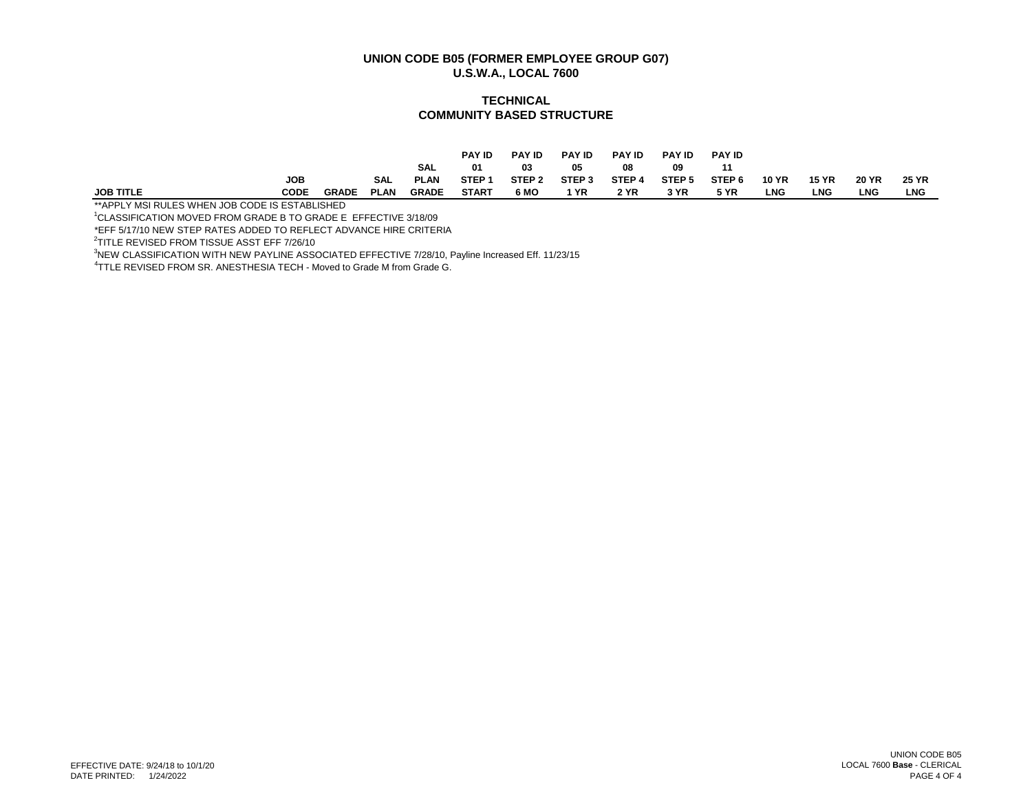#### **TECHNICAL COMMUNITY BASED STRUCTURE**

|                  |            |              |             |              | <b>PAY ID</b>     | <b>PAY ID</b> | <b>PAY ID</b>     | <b>PAY ID</b> | <b>PAY ID</b> | <b>PAY ID</b>     |              |              |              |              |
|------------------|------------|--------------|-------------|--------------|-------------------|---------------|-------------------|---------------|---------------|-------------------|--------------|--------------|--------------|--------------|
|                  |            |              |             | <b>SAL</b>   | 01                | 03            | 05                | 08            | 09            | 11                |              |              |              |              |
|                  | <b>JOB</b> |              | <b>SAL</b>  | <b>PLAN</b>  | STEP <sub>1</sub> | STEP 2        | STEP <sub>3</sub> | STEP 4        | STEP 5        | STEP <sub>6</sub> | <b>10 YR</b> | <b>15 YR</b> | <b>20 YR</b> | <b>25 YR</b> |
| <b>JOB TITLE</b> | CODE       | <b>GRADE</b> | <b>PLAN</b> | <b>GRADE</b> | <b>START</b>      | 6 MO          | 1 YR              | 2 YR          | 3 YR          | <b>5 YR</b>       | LNG          | <b>LNG</b>   | <b>LNG</b>   | <b>LNG</b>   |

\*\*APPLY MSI RULES WHEN JOB CODE IS ESTABLISHED

<sup>1</sup>CLASSIFICATION MOVED FROM GRADE B TO GRADE E EFFECTIVE 3/18/09

\*EFF 5/17/10 NEW STEP RATES ADDED TO REFLECT ADVANCE HIRE CRITERIA

2 TITLE REVISED FROM TISSUE ASST EFF 7/26/10

<sup>3</sup>NEW CLASSIFICATION WITH NEW PAYLINE ASSOCIATED EFFECTIVE 7/28/10, Payline Increased Eff. 11/23/15

<sup>4</sup>TTLE REVISED FROM SR. ANESTHESIA TECH - Moved to Grade M from Grade G.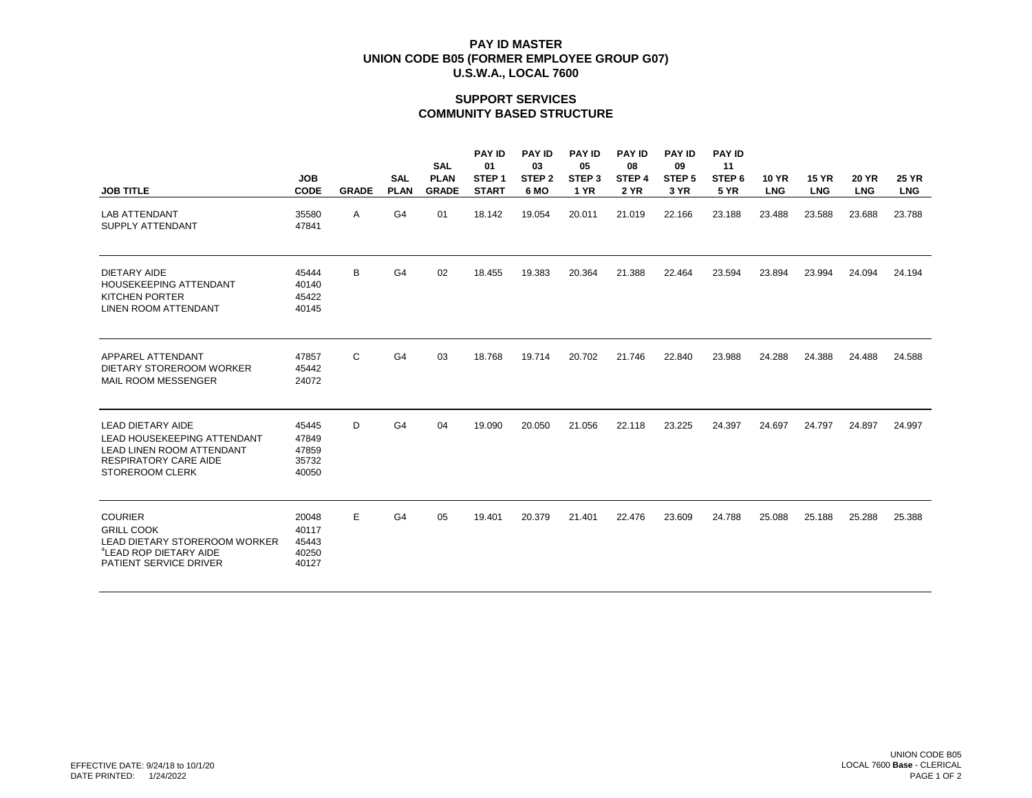## **SUPPORT SERVICES COMMUNITY BASED STRUCTURE**

|                                                                                                                                                       |                                           |              |                           | <b>SAL</b>                  | <b>PAY ID</b><br>01               | <b>PAY ID</b><br>03       | <b>PAY ID</b><br>05              | <b>PAY ID</b><br>08              | <b>PAY ID</b><br>09       | <b>PAY ID</b><br>11              |                            |                            |                            |                            |
|-------------------------------------------------------------------------------------------------------------------------------------------------------|-------------------------------------------|--------------|---------------------------|-----------------------------|-----------------------------------|---------------------------|----------------------------------|----------------------------------|---------------------------|----------------------------------|----------------------------|----------------------------|----------------------------|----------------------------|
| <b>JOB TITLE</b>                                                                                                                                      | <b>JOB</b><br><b>CODE</b>                 | <b>GRADE</b> | <b>SAL</b><br><b>PLAN</b> | <b>PLAN</b><br><b>GRADE</b> | STEP <sub>1</sub><br><b>START</b> | STEP <sub>2</sub><br>6 MO | STEP <sub>3</sub><br><b>1 YR</b> | STEP <sub>4</sub><br><b>2 YR</b> | STEP <sub>5</sub><br>3 YR | STEP <sub>6</sub><br><b>5 YR</b> | <b>10 YR</b><br><b>LNG</b> | <b>15 YR</b><br><b>LNG</b> | <b>20 YR</b><br><b>LNG</b> | <b>25 YR</b><br><b>LNG</b> |
| <b>LAB ATTENDANT</b><br>SUPPLY ATTENDANT                                                                                                              | 35580<br>47841                            | Α            | G4                        | 01                          | 18.142                            | 19.054                    | 20.011                           | 21.019                           | 22.166                    | 23.188                           | 23.488                     | 23.588                     | 23.688                     | 23.788                     |
| <b>DIETARY AIDE</b><br><b>HOUSEKEEPING ATTENDANT</b><br><b>KITCHEN PORTER</b><br><b>LINEN ROOM ATTENDANT</b>                                          | 45444<br>40140<br>45422<br>40145          | В            | G4                        | 02                          | 18.455                            | 19.383                    | 20.364                           | 21.388                           | 22.464                    | 23.594                           | 23.894                     | 23.994                     | 24.094                     | 24.194                     |
| APPAREL ATTENDANT<br>DIETARY STOREROOM WORKER<br><b>MAIL ROOM MESSENGER</b>                                                                           | 47857<br>45442<br>24072                   | C            | G4                        | 03                          | 18.768                            | 19.714                    | 20.702                           | 21.746                           | 22.840                    | 23.988                           | 24.288                     | 24.388                     | 24.488                     | 24.588                     |
| <b>LEAD DIETARY AIDE</b><br>LEAD HOUSEKEEPING ATTENDANT<br><b>LEAD LINEN ROOM ATTENDANT</b><br><b>RESPIRATORY CARE AIDE</b><br><b>STOREROOM CLERK</b> | 45445<br>47849<br>47859<br>35732<br>40050 | D            | G4                        | 04                          | 19.090                            | 20.050                    | 21.056                           | 22.118                           | 23.225                    | 24.397                           | 24.697                     | 24.797                     | 24.897                     | 24.997                     |
| <b>COURIER</b><br><b>GRILL COOK</b><br>LEAD DIETARY STOREROOM WORKER<br><sup>4</sup> LEAD ROP DIETARY AIDE<br>PATIENT SERVICE DRIVER                  | 20048<br>40117<br>45443<br>40250<br>40127 | E            | G4                        | 05                          | 19.401                            | 20.379                    | 21.401                           | 22.476                           | 23.609                    | 24.788                           | 25.088                     | 25.188                     | 25.288                     | 25.388                     |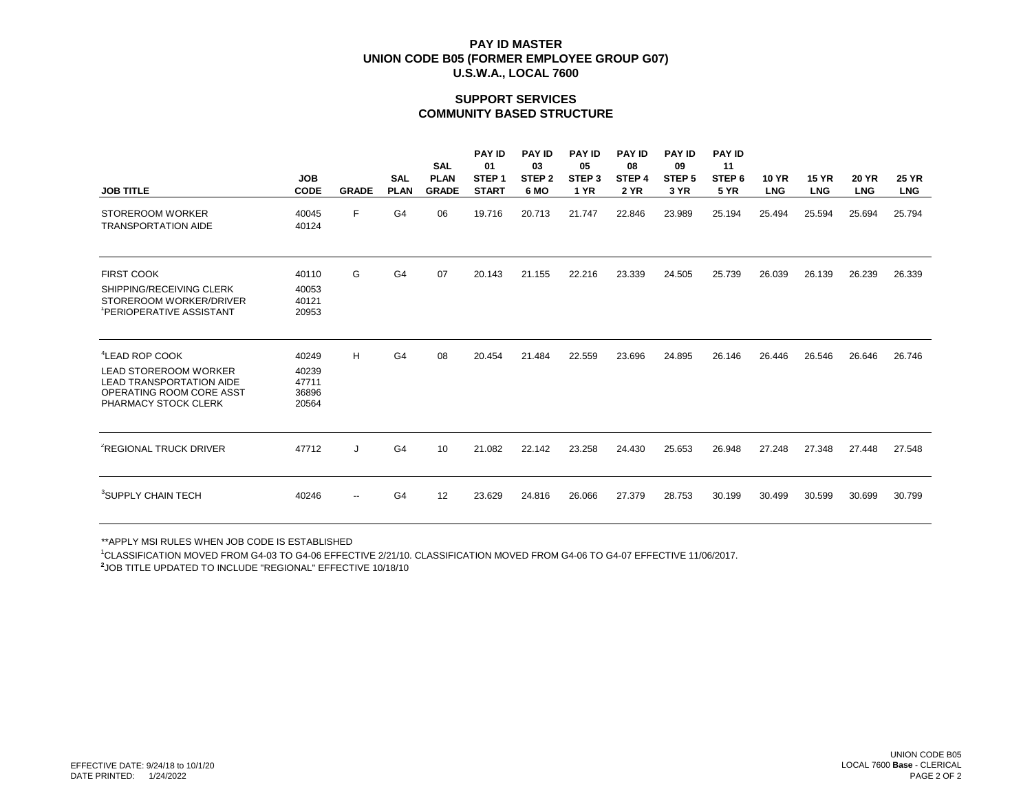## **SUPPORT SERVICES COMMUNITY BASED STRUCTURE**

| <b>JOB TITLE</b>                                                                                                                                  | <b>JOB</b><br><b>CODE</b>                 | <b>GRADE</b>             | <b>SAL</b><br><b>PLAN</b> | <b>SAL</b><br><b>PLAN</b><br><b>GRADE</b> | <b>PAY ID</b><br>01<br>STEP <sub>1</sub><br><b>START</b> | <b>PAY ID</b><br>03<br>STEP <sub>2</sub><br>6 MO | <b>PAY ID</b><br>05<br>STEP <sub>3</sub><br>1 YR | <b>PAY ID</b><br>08<br>STEP <sub>4</sub><br><b>2 YR</b> | <b>PAY ID</b><br>09<br>STEP <sub>5</sub><br>3 YR | <b>PAY ID</b><br>11<br>STEP <sub>6</sub><br><b>5 YR</b> | <b>10 YR</b><br><b>LNG</b> | <b>15 YR</b><br><b>LNG</b> | <b>20 YR</b><br><b>LNG</b> | <b>25 YR</b><br><b>LNG</b> |
|---------------------------------------------------------------------------------------------------------------------------------------------------|-------------------------------------------|--------------------------|---------------------------|-------------------------------------------|----------------------------------------------------------|--------------------------------------------------|--------------------------------------------------|---------------------------------------------------------|--------------------------------------------------|---------------------------------------------------------|----------------------------|----------------------------|----------------------------|----------------------------|
| <b>STOREROOM WORKER</b><br><b>TRANSPORTATION AIDE</b>                                                                                             | 40045<br>40124                            | F                        | G <sub>4</sub>            | 06                                        | 19.716                                                   | 20.713                                           | 21.747                                           | 22.846                                                  | 23.989                                           | 25.194                                                  | 25.494                     | 25.594                     | 25.694                     | 25.794                     |
| <b>FIRST COOK</b><br>SHIPPING/RECEIVING CLERK<br>STOREROOM WORKER/DRIVER<br>PERIOPERATIVE ASSISTANT                                               | 40110<br>40053<br>40121<br>20953          | G                        | G <sub>4</sub>            | 07                                        | 20.143                                                   | 21.155                                           | 22.216                                           | 23.339                                                  | 24.505                                           | 25.739                                                  | 26.039                     | 26.139                     | 26.239                     | 26.339                     |
| <sup>4</sup> LEAD ROP COOK<br><b>LEAD STOREROOM WORKER</b><br><b>LEAD TRANSPORTATION AIDE</b><br>OPERATING ROOM CORE ASST<br>PHARMACY STOCK CLERK | 40249<br>40239<br>47711<br>36896<br>20564 | н                        | G <sub>4</sub>            | 08                                        | 20.454                                                   | 21.484                                           | 22.559                                           | 23.696                                                  | 24.895                                           | 26.146                                                  | 26.446                     | 26.546                     | 26.646                     | 26.746                     |
| <sup>2</sup> REGIONAL TRUCK DRIVER                                                                                                                | 47712                                     | J                        | G <sub>4</sub>            | 10                                        | 21.082                                                   | 22.142                                           | 23.258                                           | 24.430                                                  | 25.653                                           | 26.948                                                  | 27.248                     | 27.348                     | 27.448                     | 27.548                     |
| <sup>3</sup> SUPPLY CHAIN TECH                                                                                                                    | 40246                                     | $\overline{\phantom{a}}$ | G4                        | 12                                        | 23.629                                                   | 24.816                                           | 26.066                                           | 27.379                                                  | 28.753                                           | 30.199                                                  | 30.499                     | 30.599                     | 30.699                     | 30.799                     |

\*\*APPLY MSI RULES WHEN JOB CODE IS ESTABLISHED

<sup>1</sup>CLASSIFICATION MOVED FROM G4-03 TO G4-06 EFFECTIVE 2/21/10. CLASSIFICATION MOVED FROM G4-06 TO G4-07 EFFECTIVE 11/06/2017.

**2** JOB TITLE UPDATED TO INCLUDE "REGIONAL" EFFECTIVE 10/18/10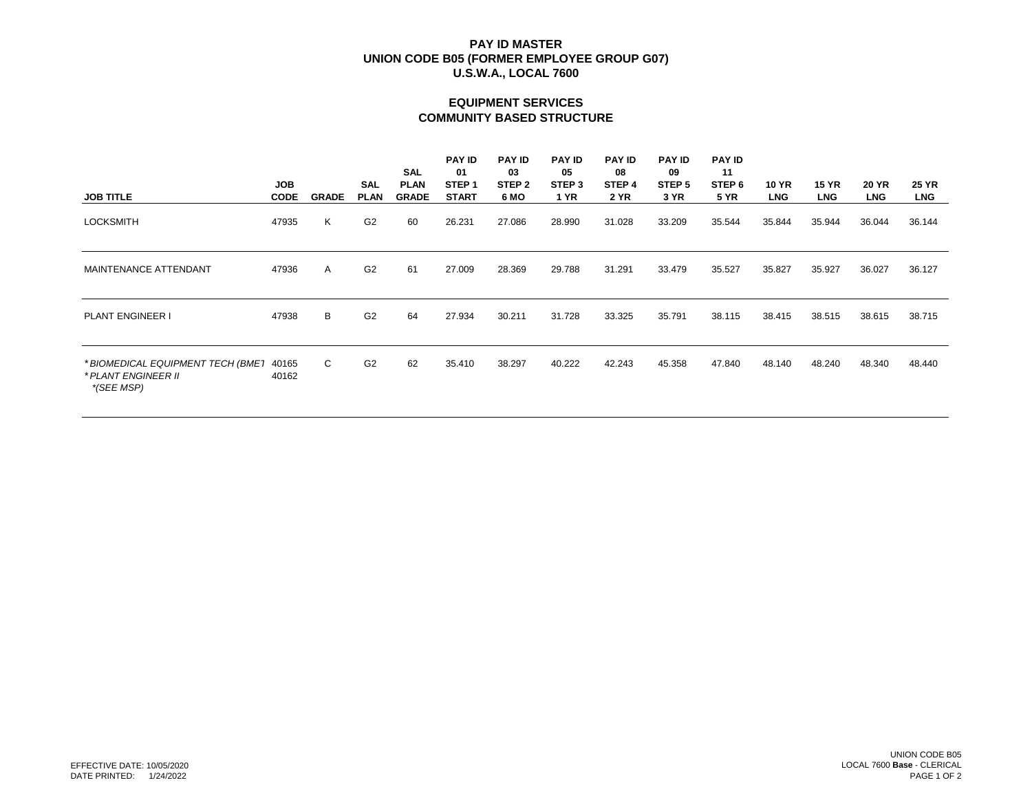# **EQUIPMENT SERVICES COMMUNITY BASED STRUCTURE**

| <b>JOB TITLE</b>                                                       | <b>JOB</b><br><b>CODE</b> | <b>GRADE</b> | <b>SAL</b><br><b>PLAN</b> | SAL<br><b>PLAN</b><br><b>GRADE</b> | <b>PAY ID</b><br>01<br>STEP <sub>1</sub><br><b>START</b> | <b>PAY ID</b><br>03<br>STEP <sub>2</sub><br>6 MO | <b>PAY ID</b><br>05<br>STEP 3<br><b>1 YR</b> | <b>PAY ID</b><br>08<br>STEP <sub>4</sub><br><b>2 YR</b> | <b>PAY ID</b><br>09<br>STEP 5<br>3 YR | <b>PAY ID</b><br>11<br>STEP <sub>6</sub><br><b>5 YR</b> | 10 YR<br><b>LNG</b> | <b>15 YR</b><br><b>LNG</b> | <b>20 YR</b><br><b>LNG</b> | <b>25 YR</b><br><b>LNG</b> |
|------------------------------------------------------------------------|---------------------------|--------------|---------------------------|------------------------------------|----------------------------------------------------------|--------------------------------------------------|----------------------------------------------|---------------------------------------------------------|---------------------------------------|---------------------------------------------------------|---------------------|----------------------------|----------------------------|----------------------------|
|                                                                        |                           |              |                           |                                    |                                                          |                                                  |                                              |                                                         |                                       |                                                         |                     |                            |                            |                            |
| <b>LOCKSMITH</b>                                                       | 47935                     | Κ            | G <sub>2</sub>            | 60                                 | 26.231                                                   | 27.086                                           | 28.990                                       | 31.028                                                  | 33.209                                | 35.544                                                  | 35.844              | 35.944                     | 36.044                     | 36.144                     |
| MAINTENANCE ATTENDANT                                                  | 47936                     | A            | G <sub>2</sub>            | 61                                 | 27.009                                                   | 28.369                                           | 29.788                                       | 31.291                                                  | 33.479                                | 35.527                                                  | 35.827              | 35.927                     | 36.027                     | 36.127                     |
| <b>PLANT ENGINEER I</b>                                                | 47938                     | В            | G <sub>2</sub>            | 64                                 | 27.934                                                   | 30.211                                           | 31.728                                       | 33.325                                                  | 35.791                                | 38.115                                                  | 38.415              | 38.515                     | 38.615                     | 38.715                     |
| * BIOMEDICAL EQUIPMENT TECH (BMET<br>* PLANT ENGINEER II<br>*(SEE MSP) | 40165<br>40162            | C            | G <sub>2</sub>            | 62                                 | 35.410                                                   | 38.297                                           | 40.222                                       | 42.243                                                  | 45.358                                | 47.840                                                  | 48.140              | 48.240                     | 48.340                     | 48.440                     |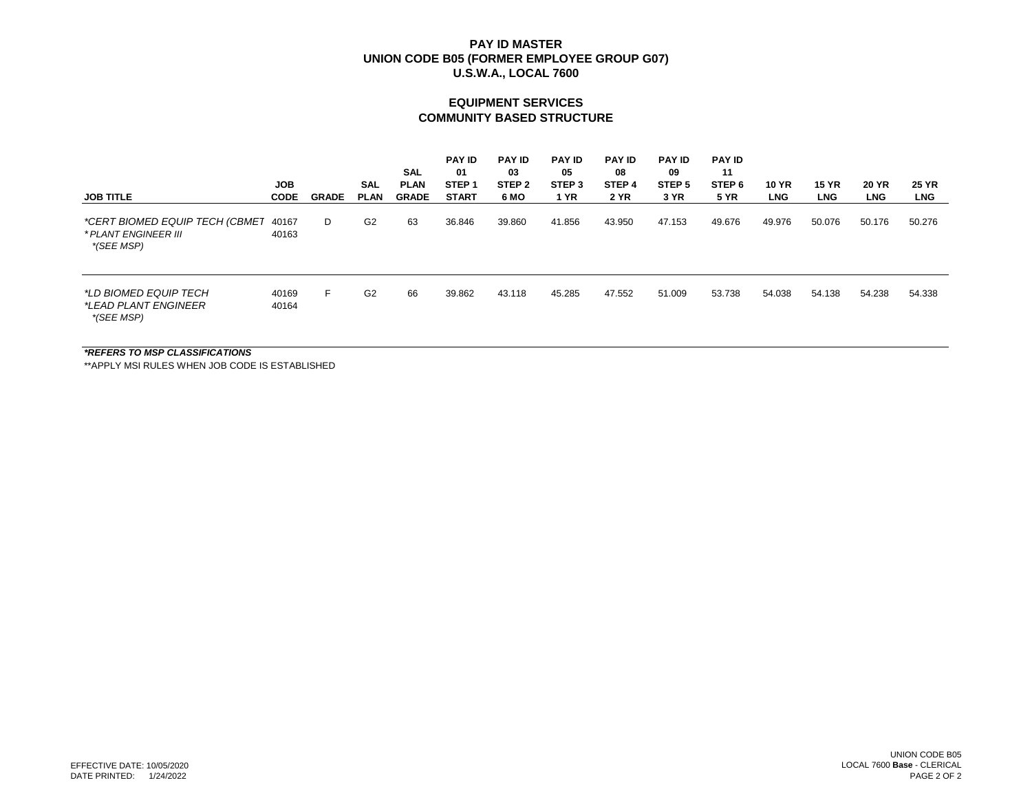#### **EQUIPMENT SERVICES COMMUNITY BASED STRUCTURE**

| <b>JOB TITLE</b>                                                     | <b>JOB</b><br><b>CODE</b> | <b>GRADE</b> | <b>SAL</b><br><b>PLAN</b> | <b>SAL</b><br><b>PLAN</b><br><b>GRADE</b> | <b>PAY ID</b><br>01<br>STEP <sub>1</sub><br><b>START</b> | <b>PAY ID</b><br>03<br>STEP <sub>2</sub><br>6 MO | <b>PAY ID</b><br>05<br>STEP <sub>3</sub><br><b>1 YR</b> | <b>PAY ID</b><br>08<br>STEP <sub>4</sub><br><b>2 YR</b> | <b>PAY ID</b><br>09<br>STEP <sub>5</sub><br>3 YR | <b>PAY ID</b><br>11<br>STEP 6<br><b>5 YR</b> | <b>10 YR</b><br><b>LNG</b> | <b>15 YR</b><br><b>LNG</b> | <b>20 YR</b><br><b>LNG</b> | <b>25 YR</b><br><b>LNG</b> |
|----------------------------------------------------------------------|---------------------------|--------------|---------------------------|-------------------------------------------|----------------------------------------------------------|--------------------------------------------------|---------------------------------------------------------|---------------------------------------------------------|--------------------------------------------------|----------------------------------------------|----------------------------|----------------------------|----------------------------|----------------------------|
| *CERT BIOMED EQUIP TECH (CBMET<br>* PLANT ENGINEER III<br>*(SEE MSP) | 40167<br>40163            | D            | G <sub>2</sub>            | 63                                        | 36.846                                                   | 39.860                                           | 41.856                                                  | 43.950                                                  | 47.153                                           | 49.676                                       | 49.976                     | 50.076                     | 50.176                     | 50.276                     |
| *LD BIOMED EQUIP TECH<br><i>*LEAD PLANT ENGINEER</i><br>*(SEE MSP)   | 40169<br>40164            | F.           | G <sub>2</sub>            | 66                                        | 39.862                                                   | 43.118                                           | 45.285                                                  | 47.552                                                  | 51.009                                           | 53.738                                       | 54.038                     | 54.138                     | 54.238                     | 54.338                     |

*\*REFERS TO MSP CLASSIFICATIONS*

\*\*APPLY MSI RULES WHEN JOB CODE IS ESTABLISHED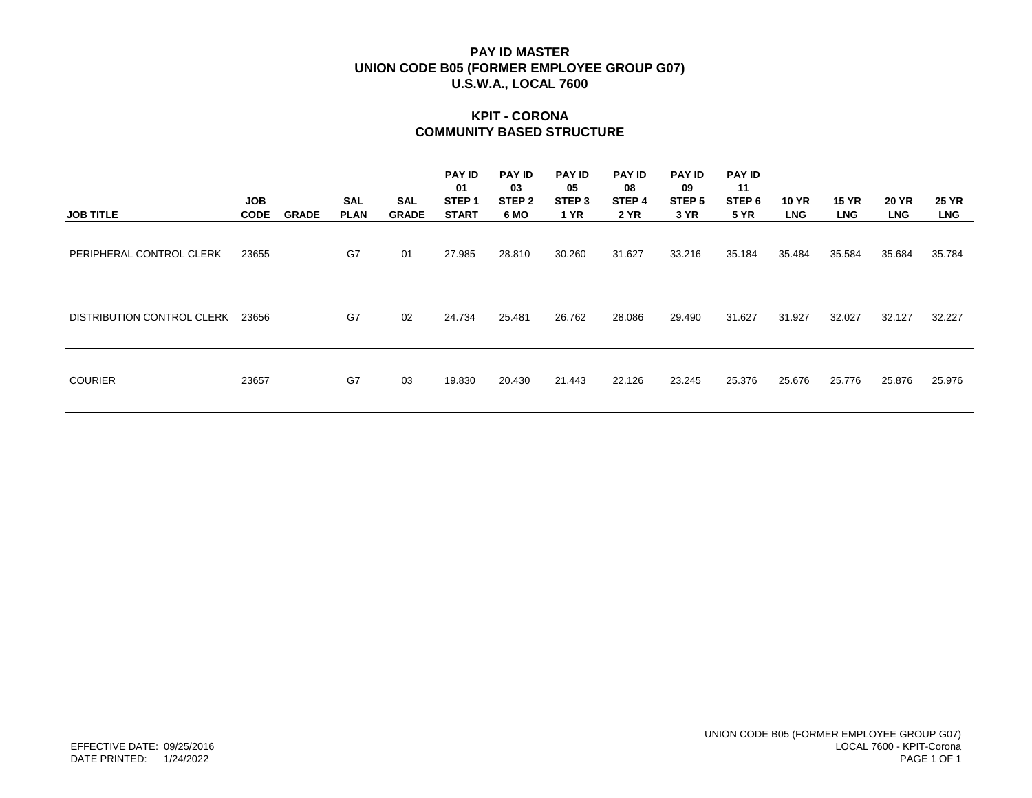# **KPIT - CORONA COMMUNITY BASED STRUCTURE**

| <b>JOB TITLE</b>           | <b>JOB</b><br><b>CODE</b> | <b>GRADE</b> | <b>SAL</b><br><b>PLAN</b> | <b>SAL</b><br><b>GRADE</b> | <b>PAY ID</b><br>01<br>STEP <sub>1</sub><br><b>START</b> | <b>PAY ID</b><br>03<br>STEP <sub>2</sub><br>6 MO | <b>PAY ID</b><br>05<br>STEP <sub>3</sub><br><b>1 YR</b> | <b>PAY ID</b><br>08<br>STEP 4<br>2 YR | <b>PAY ID</b><br>09<br>STEP 5<br>3 YR | <b>PAY ID</b><br>11<br>STEP 6<br><b>5 YR</b> | <b>10 YR</b><br><b>LNG</b> | <b>15 YR</b><br><b>LNG</b> | <b>20 YR</b><br><b>LNG</b> | <b>25 YR</b><br><b>LNG</b> |
|----------------------------|---------------------------|--------------|---------------------------|----------------------------|----------------------------------------------------------|--------------------------------------------------|---------------------------------------------------------|---------------------------------------|---------------------------------------|----------------------------------------------|----------------------------|----------------------------|----------------------------|----------------------------|
| PERIPHERAL CONTROL CLERK   | 23655                     |              | G7                        | 01                         | 27.985                                                   | 28.810                                           | 30.260                                                  | 31.627                                | 33.216                                | 35.184                                       | 35.484                     | 35.584                     | 35.684                     | 35.784                     |
| DISTRIBUTION CONTROL CLERK | 23656                     |              | G7                        | 02                         | 24.734                                                   | 25.481                                           | 26.762                                                  | 28.086                                | 29.490                                | 31.627                                       | 31.927                     | 32.027                     | 32.127                     | 32.227                     |
| <b>COURIER</b>             | 23657                     |              | G7                        | 03                         | 19.830                                                   | 20.430                                           | 21.443                                                  | 22.126                                | 23.245                                | 25.376                                       | 25.676                     | 25.776                     | 25.876                     | 25.976                     |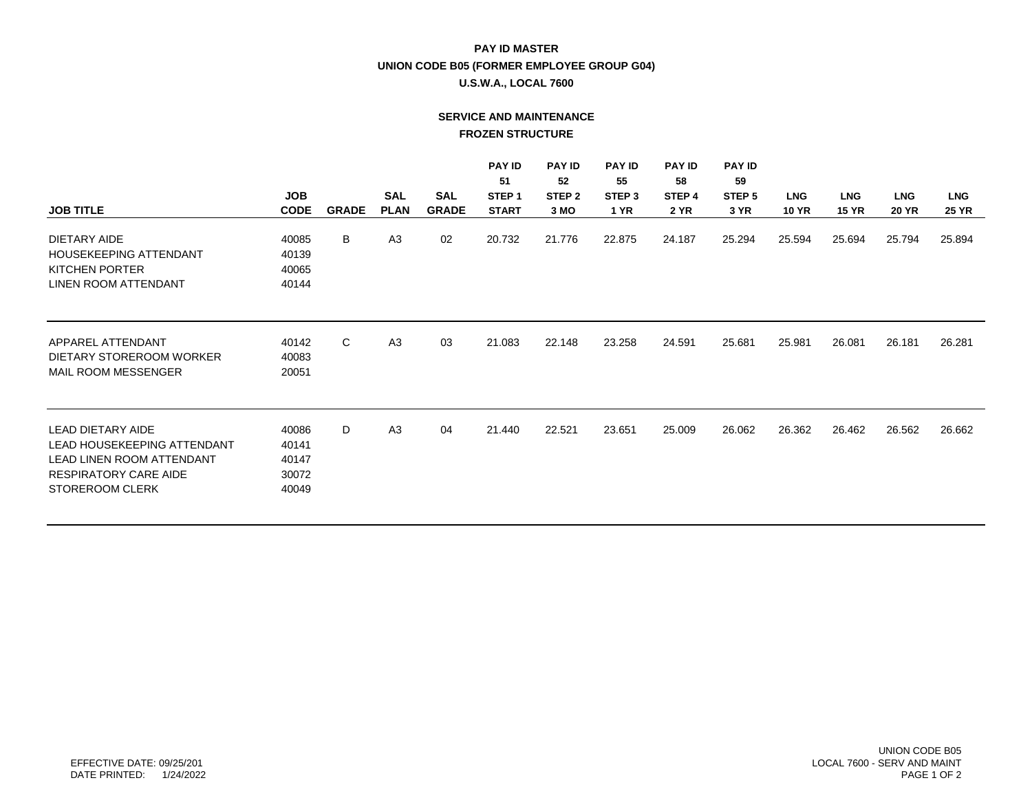# **PAY ID MASTER UNION CODE B05 (FORMER EMPLOYEE GROUP G04)**

## **U.S.W.A., LOCAL 7600**

# **SERVICE AND MAINTENANCE FROZEN STRUCTURE**

|                                                                                                                                                       |                                           |              |                |              | <b>PAY ID</b>     | <b>PAY ID</b>     | <b>PAY ID</b>     | <b>PAY ID</b>     | <b>PAY ID</b>     |              |              |              |              |
|-------------------------------------------------------------------------------------------------------------------------------------------------------|-------------------------------------------|--------------|----------------|--------------|-------------------|-------------------|-------------------|-------------------|-------------------|--------------|--------------|--------------|--------------|
|                                                                                                                                                       |                                           |              |                |              | 51                | 52                | 55                | 58                | 59                |              |              |              |              |
|                                                                                                                                                       | <b>JOB</b>                                |              | <b>SAL</b>     | <b>SAL</b>   | STEP <sub>1</sub> | STEP <sub>2</sub> | STEP <sub>3</sub> | STEP <sub>4</sub> | STEP <sub>5</sub> | <b>LNG</b>   | <b>LNG</b>   | <b>LNG</b>   | <b>LNG</b>   |
| <b>JOB TITLE</b>                                                                                                                                      | <b>CODE</b>                               | <b>GRADE</b> | <b>PLAN</b>    | <b>GRADE</b> | <b>START</b>      | 3 MO              | <b>1 YR</b>       | <b>2 YR</b>       | 3 YR              | <b>10 YR</b> | <b>15 YR</b> | <b>20 YR</b> | <b>25 YR</b> |
| DIETARY AIDE<br>HOUSEKEEPING ATTENDANT<br>KITCHEN PORTER<br>LINEN ROOM ATTENDANT                                                                      | 40085<br>40139<br>40065<br>40144          | В            | A <sub>3</sub> | 02           | 20.732            | 21.776            | 22.875            | 24.187            | 25.294            | 25.594       | 25.694       | 25.794       | 25.894       |
| APPAREL ATTENDANT<br>DIETARY STOREROOM WORKER<br>MAIL ROOM MESSENGER                                                                                  | 40142<br>40083<br>20051                   | C            | A <sub>3</sub> | 03           | 21.083            | 22.148            | 23.258            | 24.591            | 25.681            | 25.981       | 26.081       | 26.181       | 26.281       |
| <b>LEAD DIETARY AIDE</b><br>LEAD HOUSEKEEPING ATTENDANT<br><b>LEAD LINEN ROOM ATTENDANT</b><br><b>RESPIRATORY CARE AIDE</b><br><b>STOREROOM CLERK</b> | 40086<br>40141<br>40147<br>30072<br>40049 | D            | A <sub>3</sub> | 04           | 21.440            | 22.521            | 23.651            | 25.009            | 26.062            | 26.362       | 26.462       | 26.562       | 26.662       |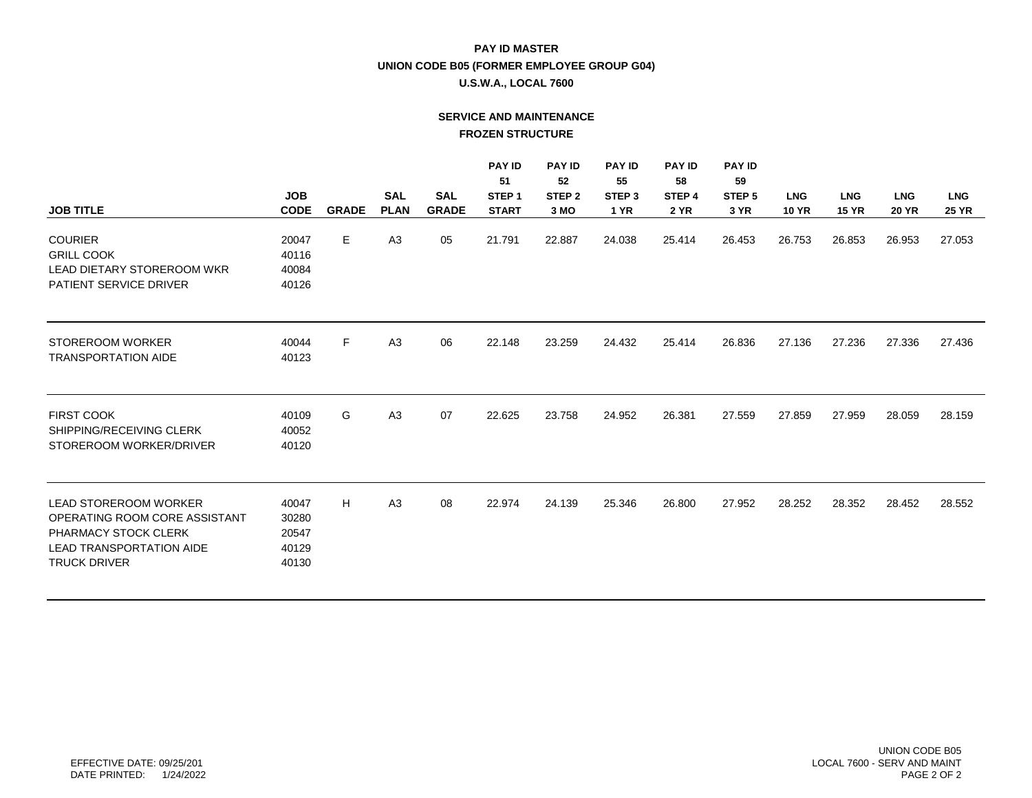# **PAY ID MASTER UNION CODE B05 (FORMER EMPLOYEE GROUP G04)**

## **U.S.W.A., LOCAL 7600**

# **SERVICE AND MAINTENANCE FROZEN STRUCTURE**

|                                 |             |              |                |              | <b>PAY ID</b><br>51 | <b>PAY ID</b><br>52 | <b>PAY ID</b><br>55 | <b>PAY ID</b><br>58 | <b>PAY ID</b><br>59 |              |              |              |              |
|---------------------------------|-------------|--------------|----------------|--------------|---------------------|---------------------|---------------------|---------------------|---------------------|--------------|--------------|--------------|--------------|
|                                 | <b>JOB</b>  |              | <b>SAL</b>     | <b>SAL</b>   | STEP <sub>1</sub>   | STEP <sub>2</sub>   | STEP <sub>3</sub>   | STEP 4              | STEP <sub>5</sub>   | <b>LNG</b>   | <b>LNG</b>   | <b>LNG</b>   | <b>LNG</b>   |
| <b>JOB TITLE</b>                | <b>CODE</b> | <b>GRADE</b> | <b>PLAN</b>    | <b>GRADE</b> | <b>START</b>        | 3 MO                | <b>1 YR</b>         | <b>2 YR</b>         | 3 YR                | <b>10 YR</b> | <b>15 YR</b> | <b>20 YR</b> | <b>25 YR</b> |
| <b>COURIER</b>                  | 20047       |              | A <sub>3</sub> | 05           |                     |                     |                     |                     |                     |              |              |              |              |
| <b>GRILL COOK</b>               | 40116       | Е.           |                |              | 21.791              | 22.887              | 24.038              | 25.414              | 26.453              | 26.753       | 26.853       | 26.953       | 27.053       |
| LEAD DIETARY STOREROOM WKR      | 40084       |              |                |              |                     |                     |                     |                     |                     |              |              |              |              |
| <b>PATIENT SERVICE DRIVER</b>   | 40126       |              |                |              |                     |                     |                     |                     |                     |              |              |              |              |
|                                 |             |              |                |              |                     |                     |                     |                     |                     |              |              |              |              |
| <b>STOREROOM WORKER</b>         | 40044       | F.           | A <sub>3</sub> | 06           | 22.148              | 23.259              | 24.432              | 25.414              | 26.836              | 27.136       | 27.236       | 27.336       | 27.436       |
| <b>TRANSPORTATION AIDE</b>      | 40123       |              |                |              |                     |                     |                     |                     |                     |              |              |              |              |
|                                 |             |              |                |              |                     |                     |                     |                     |                     |              |              |              |              |
| <b>FIRST COOK</b>               | 40109       | G            | A <sub>3</sub> | 07           | 22.625              | 23.758              | 24.952              | 26.381              | 27.559              | 27.859       | 27.959       | 28.059       | 28.159       |
| SHIPPING/RECEIVING CLERK        | 40052       |              |                |              |                     |                     |                     |                     |                     |              |              |              |              |
| STOREROOM WORKER/DRIVER         | 40120       |              |                |              |                     |                     |                     |                     |                     |              |              |              |              |
|                                 |             |              |                |              |                     |                     |                     |                     |                     |              |              |              |              |
| <b>LEAD STOREROOM WORKER</b>    | 40047       | H            | A <sub>3</sub> | 08           | 22.974              | 24.139              | 25.346              | 26.800              | 27.952              | 28.252       | 28.352       | 28.452       | 28.552       |
| OPERATING ROOM CORE ASSISTANT   | 30280       |              |                |              |                     |                     |                     |                     |                     |              |              |              |              |
| PHARMACY STOCK CLERK            | 20547       |              |                |              |                     |                     |                     |                     |                     |              |              |              |              |
| <b>LEAD TRANSPORTATION AIDE</b> | 40129       |              |                |              |                     |                     |                     |                     |                     |              |              |              |              |
| <b>TRUCK DRIVER</b>             | 40130       |              |                |              |                     |                     |                     |                     |                     |              |              |              |              |
|                                 |             |              |                |              |                     |                     |                     |                     |                     |              |              |              |              |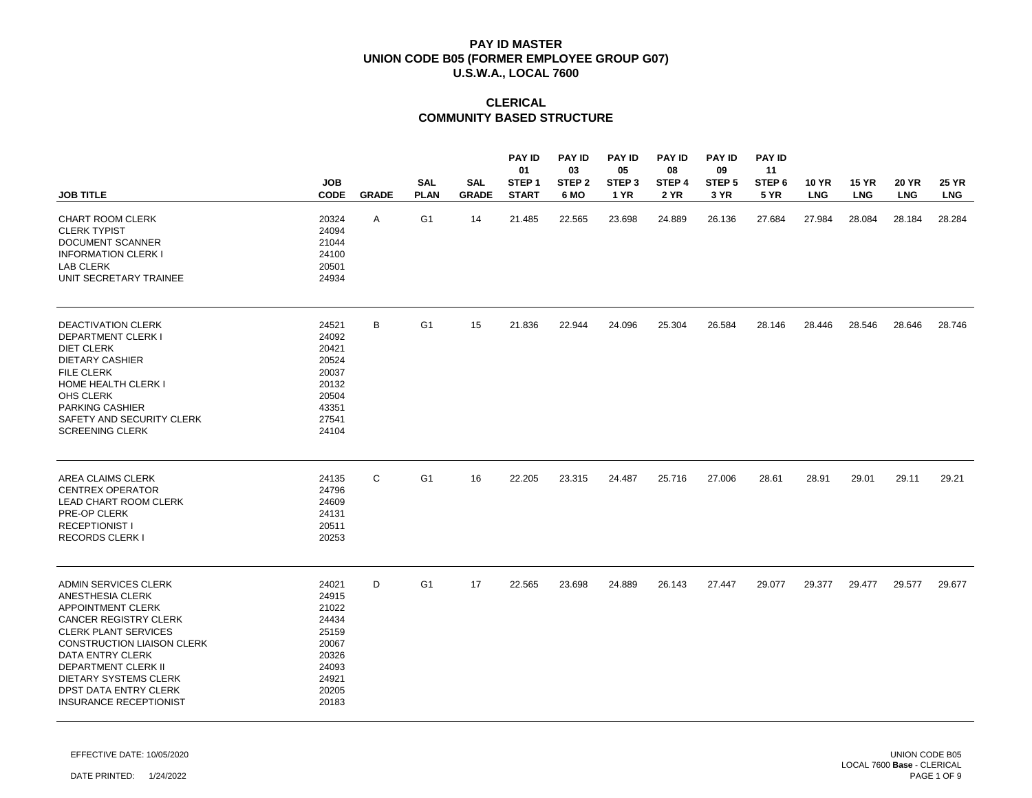# **CLERICAL COMMUNITY BASED STRUCTURE**

|                                                                                                                                                                                                                                                                                                               | <b>JOB</b>                                                                                      |              | <b>SAL</b>     | <b>SAL</b>   | <b>PAY ID</b><br>01<br>STEP <sub>1</sub> | <b>PAY ID</b><br>03<br>STEP <sub>2</sub> | <b>PAY ID</b><br>05<br>STEP 3 | <b>PAY ID</b><br>08<br>STEP 4 | <b>PAY ID</b><br>09<br>STEP <sub>5</sub> | <b>PAY ID</b><br>11<br>STEP <sub>6</sub> | <b>10 YR</b> | <b>15 YR</b> | <b>20 YR</b> | <b>25 YR</b> |
|---------------------------------------------------------------------------------------------------------------------------------------------------------------------------------------------------------------------------------------------------------------------------------------------------------------|-------------------------------------------------------------------------------------------------|--------------|----------------|--------------|------------------------------------------|------------------------------------------|-------------------------------|-------------------------------|------------------------------------------|------------------------------------------|--------------|--------------|--------------|--------------|
| <b>JOB TITLE</b>                                                                                                                                                                                                                                                                                              | <b>CODE</b>                                                                                     | <b>GRADE</b> | <b>PLAN</b>    | <b>GRADE</b> | <b>START</b>                             | 6 MO                                     | 1 YR                          | <b>2 YR</b>                   | 3 YR                                     | <b>5 YR</b>                              | <b>LNG</b>   | <b>LNG</b>   | <b>LNG</b>   | <b>LNG</b>   |
| <b>CHART ROOM CLERK</b><br><b>CLERK TYPIST</b><br>DOCUMENT SCANNER<br><b>INFORMATION CLERK I</b><br><b>LAB CLERK</b><br>UNIT SECRETARY TRAINEE                                                                                                                                                                | 20324<br>24094<br>21044<br>24100<br>20501<br>24934                                              | Α            | G <sub>1</sub> | 14           | 21.485                                   | 22.565                                   | 23.698                        | 24.889                        | 26.136                                   | 27.684                                   | 27.984       | 28.084       | 28.184       | 28.284       |
| <b>DEACTIVATION CLERK</b><br><b>DEPARTMENT CLERK I</b><br><b>DIET CLERK</b><br><b>DIETARY CASHIER</b><br><b>FILE CLERK</b><br>HOME HEALTH CLERK I<br>OHS CLERK<br><b>PARKING CASHIER</b><br>SAFETY AND SECURITY CLERK<br><b>SCREENING CLERK</b>                                                               | 24521<br>24092<br>20421<br>20524<br>20037<br>20132<br>20504<br>43351<br>27541<br>24104          | В            | G <sub>1</sub> | 15           | 21.836                                   | 22.944                                   | 24.096                        | 25.304                        | 26.584                                   | 28.146                                   | 28.446       | 28.546       | 28.646       | 28.746       |
| AREA CLAIMS CLERK<br><b>CENTREX OPERATOR</b><br><b>LEAD CHART ROOM CLERK</b><br>PRE-OP CLERK<br><b>RECEPTIONIST I</b><br>RECORDS CLERK I                                                                                                                                                                      | 24135<br>24796<br>24609<br>24131<br>20511<br>20253                                              | C            | G <sub>1</sub> | 16           | 22.205                                   | 23.315                                   | 24.487                        | 25.716                        | 27.006                                   | 28.61                                    | 28.91        | 29.01        | 29.11        | 29.21        |
| <b>ADMIN SERVICES CLERK</b><br>ANESTHESIA CLERK<br><b>APPOINTMENT CLERK</b><br>CANCER REGISTRY CLERK<br><b>CLERK PLANT SERVICES</b><br><b>CONSTRUCTION LIAISON CLERK</b><br>DATA ENTRY CLERK<br><b>DEPARTMENT CLERK II</b><br>DIETARY SYSTEMS CLERK<br>DPST DATA ENTRY CLERK<br><b>INSURANCE RECEPTIONIST</b> | 24021<br>24915<br>21022<br>24434<br>25159<br>20067<br>20326<br>24093<br>24921<br>20205<br>20183 | D            | G <sub>1</sub> | 17           | 22.565                                   | 23.698                                   | 24.889                        | 26.143                        | 27.447                                   | 29.077                                   | 29.377       | 29.477       | 29.577       | 29.677       |

EFFECTIVE DATE: 10/05/2020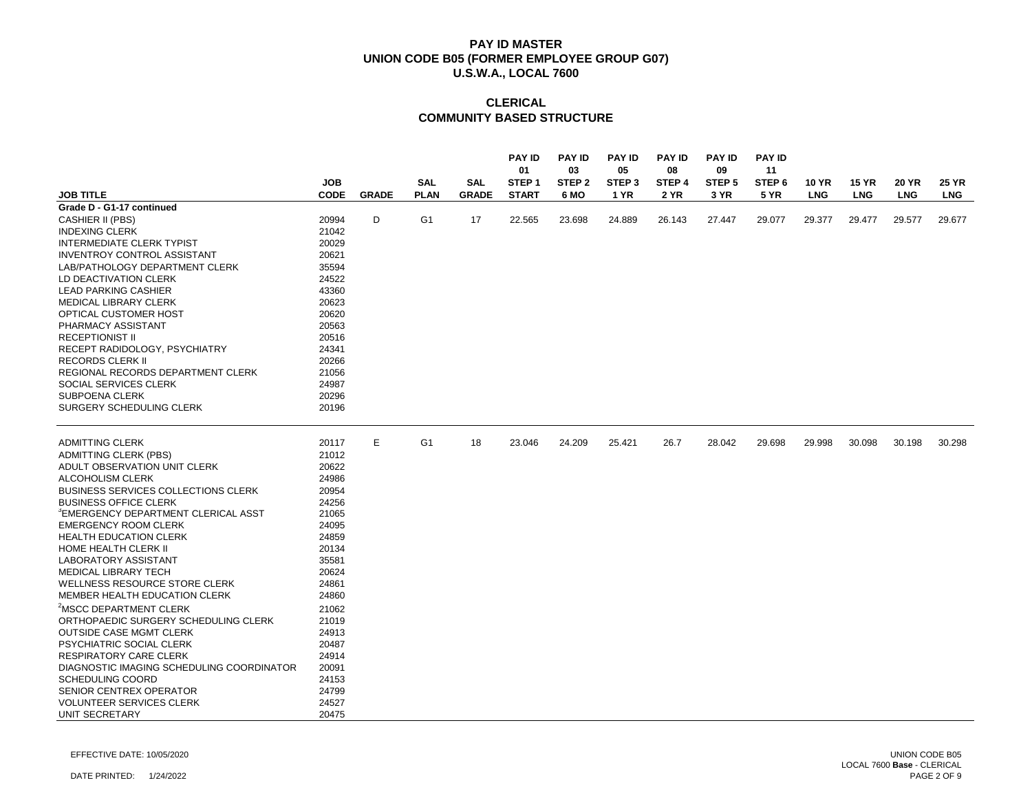# **CLERICAL COMMUNITY BASED STRUCTURE**

|                                                 |                |              |                |              | <b>PAY ID</b><br>01 | <b>PAY ID</b><br>03 | <b>PAY ID</b><br>05 | <b>PAY ID</b><br>08 | <b>PAY ID</b><br>09 | <b>PAY ID</b><br>11 |              |              |              |              |
|-------------------------------------------------|----------------|--------------|----------------|--------------|---------------------|---------------------|---------------------|---------------------|---------------------|---------------------|--------------|--------------|--------------|--------------|
|                                                 | <b>JOB</b>     |              | <b>SAL</b>     | <b>SAL</b>   | STEP <sub>1</sub>   | STEP <sub>2</sub>   | STEP <sub>3</sub>   | STEP 4              | STEP <sub>5</sub>   | STEP <sub>6</sub>   | <b>10 YR</b> | <b>15 YR</b> | <b>20 YR</b> | <b>25 YR</b> |
| <b>JOB TITLE</b>                                | <b>CODE</b>    | <b>GRADE</b> | <b>PLAN</b>    | <b>GRADE</b> | <b>START</b>        | 6 MO                | <b>1 YR</b>         | <b>2 YR</b>         | 3 YR                | <b>5 YR</b>         | <b>LNG</b>   | <b>LNG</b>   | <b>LNG</b>   | <b>LNG</b>   |
| Grade D - G1-17 continued                       |                |              |                |              |                     |                     |                     |                     |                     |                     |              |              |              |              |
| <b>CASHIER II (PBS)</b>                         | 20994          | D            | G <sub>1</sub> | 17           | 22.565              | 23.698              | 24.889              | 26.143              | 27.447              | 29.077              | 29.377       | 29.477       | 29.577       | 29.677       |
| <b>INDEXING CLERK</b>                           | 21042          |              |                |              |                     |                     |                     |                     |                     |                     |              |              |              |              |
| <b>INTERMEDIATE CLERK TYPIST</b>                | 20029          |              |                |              |                     |                     |                     |                     |                     |                     |              |              |              |              |
| <b>INVENTROY CONTROL ASSISTANT</b>              | 20621          |              |                |              |                     |                     |                     |                     |                     |                     |              |              |              |              |
| LAB/PATHOLOGY DEPARTMENT CLERK                  | 35594          |              |                |              |                     |                     |                     |                     |                     |                     |              |              |              |              |
| LD DEACTIVATION CLERK                           | 24522          |              |                |              |                     |                     |                     |                     |                     |                     |              |              |              |              |
| <b>LEAD PARKING CASHIER</b>                     | 43360          |              |                |              |                     |                     |                     |                     |                     |                     |              |              |              |              |
| <b>MEDICAL LIBRARY CLERK</b>                    | 20623          |              |                |              |                     |                     |                     |                     |                     |                     |              |              |              |              |
| OPTICAL CUSTOMER HOST                           | 20620          |              |                |              |                     |                     |                     |                     |                     |                     |              |              |              |              |
| PHARMACY ASSISTANT                              | 20563          |              |                |              |                     |                     |                     |                     |                     |                     |              |              |              |              |
| <b>RECEPTIONIST II</b>                          | 20516          |              |                |              |                     |                     |                     |                     |                     |                     |              |              |              |              |
| RECEPT RADIDOLOGY, PSYCHIATRY                   | 24341          |              |                |              |                     |                     |                     |                     |                     |                     |              |              |              |              |
| <b>RECORDS CLERK II</b>                         | 20266          |              |                |              |                     |                     |                     |                     |                     |                     |              |              |              |              |
| REGIONAL RECORDS DEPARTMENT CLERK               | 21056          |              |                |              |                     |                     |                     |                     |                     |                     |              |              |              |              |
| SOCIAL SERVICES CLERK<br>SUBPOENA CLERK         | 24987<br>20296 |              |                |              |                     |                     |                     |                     |                     |                     |              |              |              |              |
| SURGERY SCHEDULING CLERK                        | 20196          |              |                |              |                     |                     |                     |                     |                     |                     |              |              |              |              |
|                                                 |                |              |                |              |                     |                     |                     |                     |                     |                     |              |              |              |              |
| <b>ADMITTING CLERK</b>                          | 20117          | Ε            | G <sub>1</sub> | 18           | 23.046              | 24.209              | 25.421              | 26.7                | 28.042              | 29.698              | 29.998       | 30.098       | 30.198       | 30.298       |
| <b>ADMITTING CLERK (PBS)</b>                    | 21012          |              |                |              |                     |                     |                     |                     |                     |                     |              |              |              |              |
| ADULT OBSERVATION UNIT CLERK                    | 20622          |              |                |              |                     |                     |                     |                     |                     |                     |              |              |              |              |
| ALCOHOLISM CLERK                                | 24986          |              |                |              |                     |                     |                     |                     |                     |                     |              |              |              |              |
| <b>BUSINESS SERVICES COLLECTIONS CLERK</b>      | 20954          |              |                |              |                     |                     |                     |                     |                     |                     |              |              |              |              |
| <b>BUSINESS OFFICE CLERK</b>                    | 24256          |              |                |              |                     |                     |                     |                     |                     |                     |              |              |              |              |
| <sup>3</sup> EMERGENCY DEPARTMENT CLERICAL ASST | 21065          |              |                |              |                     |                     |                     |                     |                     |                     |              |              |              |              |
| <b>EMERGENCY ROOM CLERK</b>                     | 24095          |              |                |              |                     |                     |                     |                     |                     |                     |              |              |              |              |
| HEALTH EDUCATION CLERK<br>HOME HEALTH CLERK II  | 24859<br>20134 |              |                |              |                     |                     |                     |                     |                     |                     |              |              |              |              |
| <b>LABORATORY ASSISTANT</b>                     | 35581          |              |                |              |                     |                     |                     |                     |                     |                     |              |              |              |              |
| <b>MEDICAL LIBRARY TECH</b>                     | 20624          |              |                |              |                     |                     |                     |                     |                     |                     |              |              |              |              |
| WELLNESS RESOURCE STORE CLERK                   | 24861          |              |                |              |                     |                     |                     |                     |                     |                     |              |              |              |              |
| MEMBER HEALTH EDUCATION CLERK                   | 24860          |              |                |              |                     |                     |                     |                     |                     |                     |              |              |              |              |
| <sup>2</sup> MSCC DEPARTMENT CLERK              | 21062          |              |                |              |                     |                     |                     |                     |                     |                     |              |              |              |              |
| ORTHOPAEDIC SURGERY SCHEDULING CLERK            | 21019          |              |                |              |                     |                     |                     |                     |                     |                     |              |              |              |              |
| <b>OUTSIDE CASE MGMT CLERK</b>                  | 24913          |              |                |              |                     |                     |                     |                     |                     |                     |              |              |              |              |
| PSYCHIATRIC SOCIAL CLERK                        | 20487          |              |                |              |                     |                     |                     |                     |                     |                     |              |              |              |              |
| <b>RESPIRATORY CARE CLERK</b>                   | 24914          |              |                |              |                     |                     |                     |                     |                     |                     |              |              |              |              |
| DIAGNOSTIC IMAGING SCHEDULING COORDINATOR       | 20091          |              |                |              |                     |                     |                     |                     |                     |                     |              |              |              |              |
| <b>SCHEDULING COORD</b>                         | 24153          |              |                |              |                     |                     |                     |                     |                     |                     |              |              |              |              |
| SENIOR CENTREX OPERATOR                         | 24799          |              |                |              |                     |                     |                     |                     |                     |                     |              |              |              |              |
| <b>VOLUNTEER SERVICES CLERK</b>                 | 24527          |              |                |              |                     |                     |                     |                     |                     |                     |              |              |              |              |
| UNIT SECRETARY                                  | 20475          |              |                |              |                     |                     |                     |                     |                     |                     |              |              |              |              |

EFFECTIVE DATE: 10/05/2020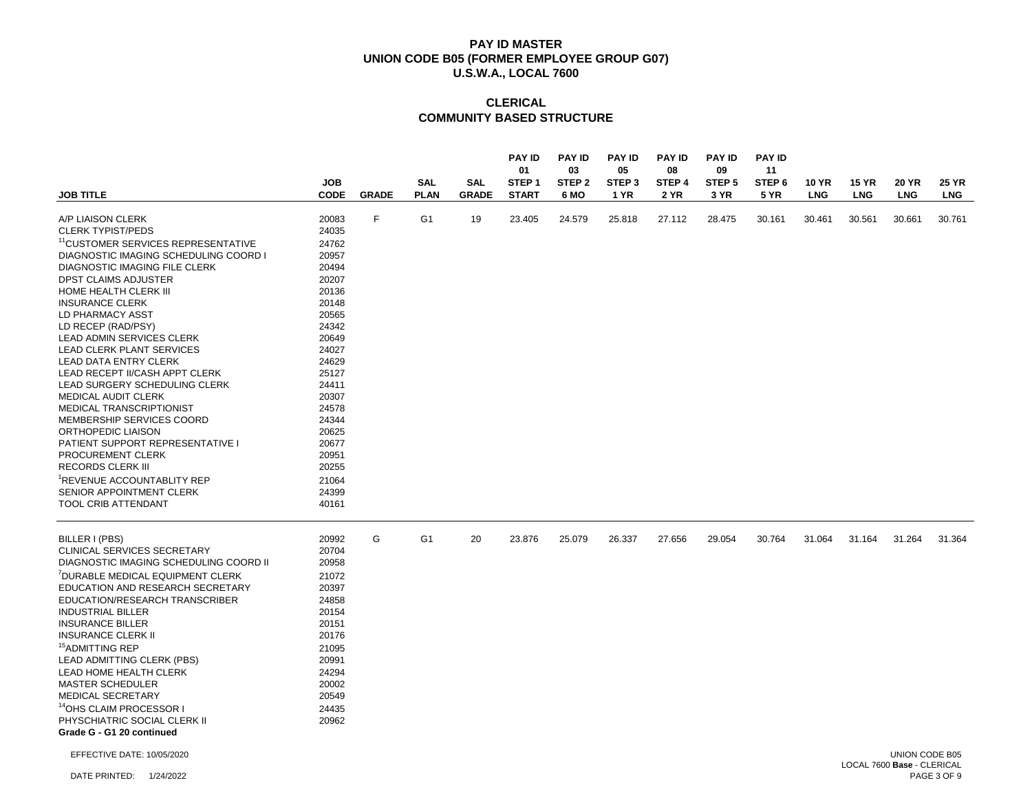|                                                       | <b>JOB</b>     |              | <b>SAL</b>     | <b>SAL</b>   | <b>PAY ID</b><br>01<br>STEP <sub>1</sub> | <b>PAY ID</b><br>03<br>STEP <sub>2</sub> | <b>PAY ID</b><br>05<br>STEP <sub>3</sub> | <b>PAY ID</b><br>08<br>STEP 4 | <b>PAY ID</b><br>09<br>STEP <sub>5</sub> | <b>PAY ID</b><br>11<br>STEP <sub>6</sub> | 10 YR      | <b>15 YR</b> | <b>20 YR</b>   | <b>25 YR</b> |
|-------------------------------------------------------|----------------|--------------|----------------|--------------|------------------------------------------|------------------------------------------|------------------------------------------|-------------------------------|------------------------------------------|------------------------------------------|------------|--------------|----------------|--------------|
| <b>JOB TITLE</b>                                      | <b>CODE</b>    | <b>GRADE</b> | <b>PLAN</b>    | <b>GRADE</b> | <b>START</b>                             | 6 MO                                     | 1 YR                                     | 2 YR                          | 3 YR                                     | <b>5 YR</b>                              | <b>LNG</b> | <b>LNG</b>   | <b>LNG</b>     | <b>LNG</b>   |
| A/P LIAISON CLERK                                     | 20083          | F            | G <sub>1</sub> | 19           | 23.405                                   | 24.579                                   | 25.818                                   | 27.112                        | 28.475                                   | 30.161                                   | 30.461     | 30.561       | 30.661         | 30.761       |
| <b>CLERK TYPIST/PEDS</b>                              | 24035          |              |                |              |                                          |                                          |                                          |                               |                                          |                                          |            |              |                |              |
| <sup>11</sup> CUSTOMER SERVICES REPRESENTATIVE        | 24762          |              |                |              |                                          |                                          |                                          |                               |                                          |                                          |            |              |                |              |
| DIAGNOSTIC IMAGING SCHEDULING COORD I                 | 20957          |              |                |              |                                          |                                          |                                          |                               |                                          |                                          |            |              |                |              |
| <b>DIAGNOSTIC IMAGING FILE CLERK</b>                  | 20494          |              |                |              |                                          |                                          |                                          |                               |                                          |                                          |            |              |                |              |
| <b>DPST CLAIMS ADJUSTER</b>                           | 20207          |              |                |              |                                          |                                          |                                          |                               |                                          |                                          |            |              |                |              |
| HOME HEALTH CLERK III                                 | 20136          |              |                |              |                                          |                                          |                                          |                               |                                          |                                          |            |              |                |              |
| <b>INSURANCE CLERK</b><br>LD PHARMACY ASST            | 20148<br>20565 |              |                |              |                                          |                                          |                                          |                               |                                          |                                          |            |              |                |              |
| LD RECEP (RAD/PSY)                                    | 24342          |              |                |              |                                          |                                          |                                          |                               |                                          |                                          |            |              |                |              |
| LEAD ADMIN SERVICES CLERK                             | 20649          |              |                |              |                                          |                                          |                                          |                               |                                          |                                          |            |              |                |              |
| LEAD CLERK PLANT SERVICES                             | 24027          |              |                |              |                                          |                                          |                                          |                               |                                          |                                          |            |              |                |              |
| <b>LEAD DATA ENTRY CLERK</b>                          | 24629          |              |                |              |                                          |                                          |                                          |                               |                                          |                                          |            |              |                |              |
| LEAD RECEPT II/CASH APPT CLERK                        | 25127          |              |                |              |                                          |                                          |                                          |                               |                                          |                                          |            |              |                |              |
| LEAD SURGERY SCHEDULING CLERK                         | 24411          |              |                |              |                                          |                                          |                                          |                               |                                          |                                          |            |              |                |              |
| <b>MEDICAL AUDIT CLERK</b>                            | 20307          |              |                |              |                                          |                                          |                                          |                               |                                          |                                          |            |              |                |              |
| <b>MEDICAL TRANSCRIPTIONIST</b>                       | 24578          |              |                |              |                                          |                                          |                                          |                               |                                          |                                          |            |              |                |              |
| MEMBERSHIP SERVICES COORD                             | 24344          |              |                |              |                                          |                                          |                                          |                               |                                          |                                          |            |              |                |              |
| ORTHOPEDIC LIAISON                                    | 20625          |              |                |              |                                          |                                          |                                          |                               |                                          |                                          |            |              |                |              |
| PATIENT SUPPORT REPRESENTATIVE I<br>PROCUREMENT CLERK | 20677<br>20951 |              |                |              |                                          |                                          |                                          |                               |                                          |                                          |            |              |                |              |
| <b>RECORDS CLERK III</b>                              | 20255          |              |                |              |                                          |                                          |                                          |                               |                                          |                                          |            |              |                |              |
| REVENUE ACCOUNTABLITY REP                             | 21064          |              |                |              |                                          |                                          |                                          |                               |                                          |                                          |            |              |                |              |
| SENIOR APPOINTMENT CLERK                              | 24399          |              |                |              |                                          |                                          |                                          |                               |                                          |                                          |            |              |                |              |
| <b>TOOL CRIB ATTENDANT</b>                            | 40161          |              |                |              |                                          |                                          |                                          |                               |                                          |                                          |            |              |                |              |
| BILLER I (PBS)                                        | 20992          | G            | G <sub>1</sub> | 20           | 23.876                                   | 25.079                                   | 26.337                                   | 27.656                        | 29.054                                   | 30.764                                   | 31.064     | 31.164       | 31.264         | 31.364       |
| <b>CLINICAL SERVICES SECRETARY</b>                    | 20704          |              |                |              |                                          |                                          |                                          |                               |                                          |                                          |            |              |                |              |
| DIAGNOSTIC IMAGING SCHEDULING COORD II                | 20958          |              |                |              |                                          |                                          |                                          |                               |                                          |                                          |            |              |                |              |
| DURABLE MEDICAL EQUIPMENT CLERK                       | 21072          |              |                |              |                                          |                                          |                                          |                               |                                          |                                          |            |              |                |              |
| EDUCATION AND RESEARCH SECRETARY                      | 20397          |              |                |              |                                          |                                          |                                          |                               |                                          |                                          |            |              |                |              |
| EDUCATION/RESEARCH TRANSCRIBER                        | 24858          |              |                |              |                                          |                                          |                                          |                               |                                          |                                          |            |              |                |              |
| <b>INDUSTRIAL BILLER</b>                              | 20154          |              |                |              |                                          |                                          |                                          |                               |                                          |                                          |            |              |                |              |
| <b>INSURANCE BILLER</b>                               | 20151          |              |                |              |                                          |                                          |                                          |                               |                                          |                                          |            |              |                |              |
| <b>INSURANCE CLERK II</b>                             | 20176          |              |                |              |                                          |                                          |                                          |                               |                                          |                                          |            |              |                |              |
| <sup>15</sup> ADMITTING REP                           | 21095          |              |                |              |                                          |                                          |                                          |                               |                                          |                                          |            |              |                |              |
| LEAD ADMITTING CLERK (PBS)                            | 20991          |              |                |              |                                          |                                          |                                          |                               |                                          |                                          |            |              |                |              |
| LEAD HOME HEALTH CLERK<br>MASTER SCHEDULER            | 24294<br>20002 |              |                |              |                                          |                                          |                                          |                               |                                          |                                          |            |              |                |              |
| MEDICAL SECRETARY                                     | 20549          |              |                |              |                                          |                                          |                                          |                               |                                          |                                          |            |              |                |              |
| <sup>14</sup> OHS CLAIM PROCESSOR I                   | 24435          |              |                |              |                                          |                                          |                                          |                               |                                          |                                          |            |              |                |              |
| PHYSCHIATRIC SOCIAL CLERK II                          | 20962          |              |                |              |                                          |                                          |                                          |                               |                                          |                                          |            |              |                |              |
| Grade G - G1 20 continued                             |                |              |                |              |                                          |                                          |                                          |                               |                                          |                                          |            |              |                |              |
| EFFECTIVE DATE: 10/05/2020                            |                |              |                |              |                                          |                                          |                                          |                               |                                          |                                          |            |              | UNION CODE B05 |              |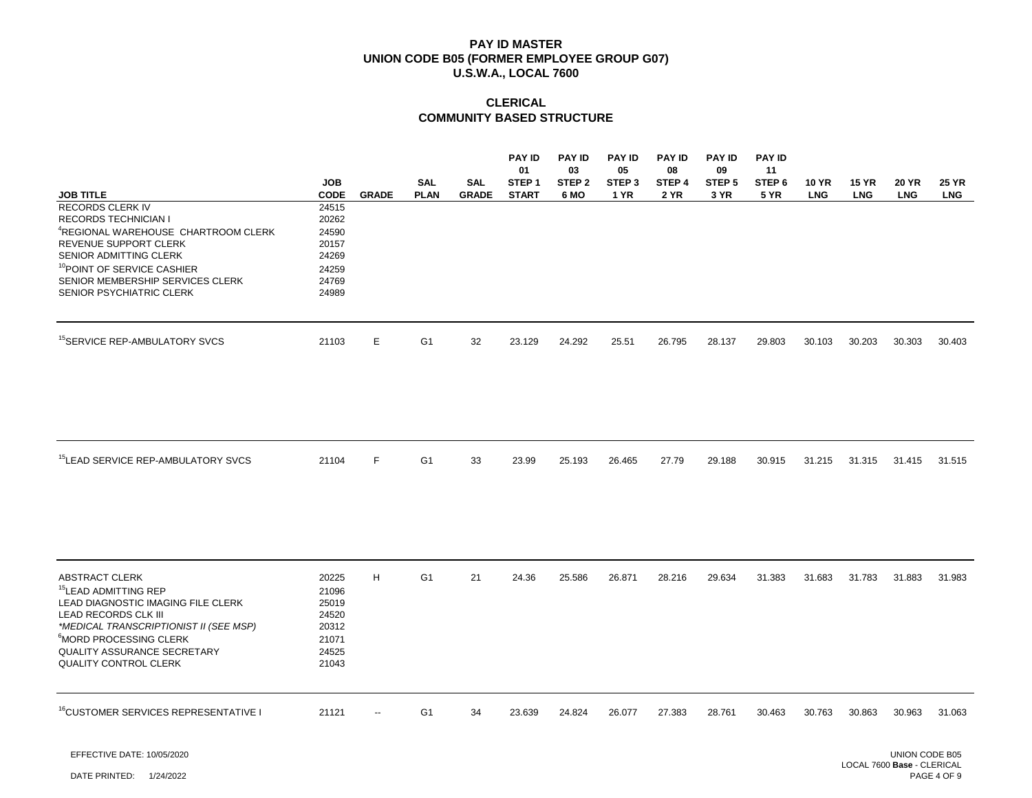# **CLERICAL COMMUNITY BASED STRUCTURE**

| <b>JOB TITLE</b>                                                                                                                                                                                                                                                              | <b>JOB</b><br><b>CODE</b>                                            | <b>GRADE</b> | <b>SAL</b><br><b>PLAN</b> | <b>SAL</b><br><b>GRADE</b> | <b>PAY ID</b><br>01<br>STEP <sub>1</sub><br><b>START</b> | <b>PAY ID</b><br>03<br>STEP <sub>2</sub><br>6 MO | <b>PAY ID</b><br>05<br>STEP <sub>3</sub><br><b>1 YR</b> | <b>PAY ID</b><br>08<br>STEP 4<br><b>2 YR</b> | <b>PAY ID</b><br>09<br>STEP <sub>5</sub><br>3 YR | <b>PAY ID</b><br>11<br>STEP <sub>6</sub><br><b>5 YR</b> | <b>10 YR</b><br><b>LNG</b> | <b>15 YR</b><br><b>LNG</b> | <b>20 YR</b><br><b>LNG</b> | <b>25 YR</b><br><b>LNG</b> |
|-------------------------------------------------------------------------------------------------------------------------------------------------------------------------------------------------------------------------------------------------------------------------------|----------------------------------------------------------------------|--------------|---------------------------|----------------------------|----------------------------------------------------------|--------------------------------------------------|---------------------------------------------------------|----------------------------------------------|--------------------------------------------------|---------------------------------------------------------|----------------------------|----------------------------|----------------------------|----------------------------|
| <b>RECORDS CLERK IV</b><br><b>RECORDS TECHNICIAN I</b><br><sup>4</sup> REGIONAL WAREHOUSE CHARTROOM CLERK<br>REVENUE SUPPORT CLERK<br>SENIOR ADMITTING CLERK<br><sup>10</sup> POINT OF SERVICE CASHIER<br>SENIOR MEMBERSHIP SERVICES CLERK<br>SENIOR PSYCHIATRIC CLERK        | 24515<br>20262<br>24590<br>20157<br>24269<br>24259<br>24769<br>24989 |              |                           |                            |                                                          |                                                  |                                                         |                                              |                                                  |                                                         |                            |                            |                            |                            |
| <sup>15</sup> SERVICE REP-AMBULATORY SVCS                                                                                                                                                                                                                                     | 21103                                                                | Е            | G <sub>1</sub>            | 32                         | 23.129                                                   | 24.292                                           | 25.51                                                   | 26.795                                       | 28.137                                           | 29.803                                                  | 30.103                     | 30.203                     | 30.303                     | 30.403                     |
| <sup>15</sup> LEAD SERVICE REP-AMBULATORY SVCS                                                                                                                                                                                                                                | 21104                                                                | F            | G1                        | 33                         | 23.99                                                    | 25.193                                           | 26.465                                                  | 27.79                                        | 29.188                                           | 30.915                                                  | 31.215                     | 31.315                     | 31.415                     | 31.515                     |
| <b>ABSTRACT CLERK</b><br><sup>15</sup> LEAD ADMITTING REP<br>LEAD DIAGNOSTIC IMAGING FILE CLERK<br>LEAD RECORDS CLK III<br>*MEDICAL TRANSCRIPTIONIST II (SEE MSP)<br><sup>6</sup> MORD PROCESSING CLERK<br><b>QUALITY ASSURANCE SECRETARY</b><br><b>QUALITY CONTROL CLERK</b> | 20225<br>21096<br>25019<br>24520<br>20312<br>21071<br>24525<br>21043 | H            | G <sub>1</sub>            | 21                         | 24.36                                                    | 25.586                                           | 26.871                                                  | 28.216                                       | 29.634                                           | 31.383                                                  | 31.683                     | 31.783                     | 31.883                     | 31.983                     |
| <sup>16</sup> CUSTOMER SERVICES REPRESENTATIVE I                                                                                                                                                                                                                              | 21121                                                                |              | G <sub>1</sub>            | 34                         | 23.639                                                   | 24.824                                           | 26.077                                                  | 27.383                                       | 28.761                                           | 30.463                                                  | 30.763                     | 30.863                     | 30.963                     | 31.063                     |

EFFECTIVE DATE: 10/05/2020

DATE PRINTED: 1/24/2022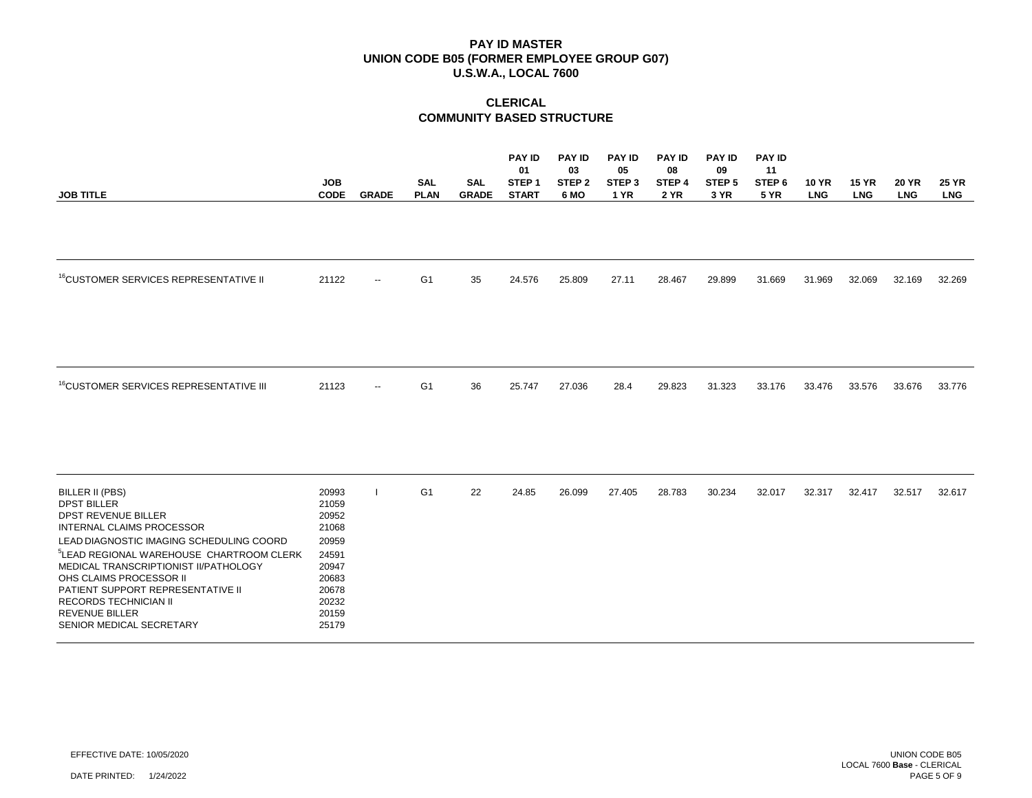| <b>JOB TITLE</b>                                                                                                                                                                                                                                                                                                                                                                                          | <b>JOB</b><br><b>CODE</b>                                                                                | <b>GRADE</b>             | <b>SAL</b><br><b>PLAN</b> | <b>SAL</b><br><b>GRADE</b> | <b>PAY ID</b><br>01<br>STEP <sub>1</sub><br><b>START</b> | <b>PAY ID</b><br>03<br>STEP <sub>2</sub><br>6 MO | <b>PAY ID</b><br>05<br>STEP <sub>3</sub><br><b>1 YR</b> | <b>PAY ID</b><br>08<br>STEP 4<br>2 YR | <b>PAY ID</b><br>09<br>STEP <sub>5</sub><br>3 YR | <b>PAY ID</b><br>11<br>STEP <sub>6</sub><br><b>5 YR</b> | <b>10 YR</b><br><b>LNG</b> | <b>15 YR</b><br><b>LNG</b> | <b>20 YR</b><br><b>LNG</b> | <b>25 YR</b><br><b>LNG</b> |
|-----------------------------------------------------------------------------------------------------------------------------------------------------------------------------------------------------------------------------------------------------------------------------------------------------------------------------------------------------------------------------------------------------------|----------------------------------------------------------------------------------------------------------|--------------------------|---------------------------|----------------------------|----------------------------------------------------------|--------------------------------------------------|---------------------------------------------------------|---------------------------------------|--------------------------------------------------|---------------------------------------------------------|----------------------------|----------------------------|----------------------------|----------------------------|
|                                                                                                                                                                                                                                                                                                                                                                                                           |                                                                                                          |                          |                           |                            |                                                          |                                                  |                                                         |                                       |                                                  |                                                         |                            |                            |                            |                            |
| <sup>16</sup> CUSTOMER SERVICES REPRESENTATIVE II                                                                                                                                                                                                                                                                                                                                                         | 21122                                                                                                    | $\overline{\phantom{a}}$ | G <sub>1</sub>            | 35                         | 24.576                                                   | 25.809                                           | 27.11                                                   | 28.467                                | 29.899                                           | 31.669                                                  | 31.969                     | 32.069                     | 32.169                     | 32.269                     |
| <sup>16</sup> CUSTOMER SERVICES REPRESENTATIVE III                                                                                                                                                                                                                                                                                                                                                        | 21123                                                                                                    | $\overline{\phantom{a}}$ | G <sub>1</sub>            | 36                         | 25.747                                                   | 27.036                                           | 28.4                                                    | 29.823                                | 31.323                                           | 33.176                                                  | 33.476                     | 33.576                     | 33.676                     | 33.776                     |
| BILLER II (PBS)<br><b>DPST BILLER</b><br><b>DPST REVENUE BILLER</b><br><b>INTERNAL CLAIMS PROCESSOR</b><br>LEAD DIAGNOSTIC IMAGING SCHEDULING COORD<br><sup>5</sup> LEAD REGIONAL WAREHOUSE CHARTROOM CLERK<br>MEDICAL TRANSCRIPTIONIST II/PATHOLOGY<br>OHS CLAIMS PROCESSOR II<br>PATIENT SUPPORT REPRESENTATIVE II<br><b>RECORDS TECHNICIAN II</b><br><b>REVENUE BILLER</b><br>SENIOR MEDICAL SECRETARY | 20993<br>21059<br>20952<br>21068<br>20959<br>24591<br>20947<br>20683<br>20678<br>20232<br>20159<br>25179 |                          | G <sub>1</sub>            | 22                         | 24.85                                                    | 26.099                                           | 27.405                                                  | 28.783                                | 30.234                                           | 32.017                                                  | 32.317                     | 32.417                     | 32.517                     | 32.617                     |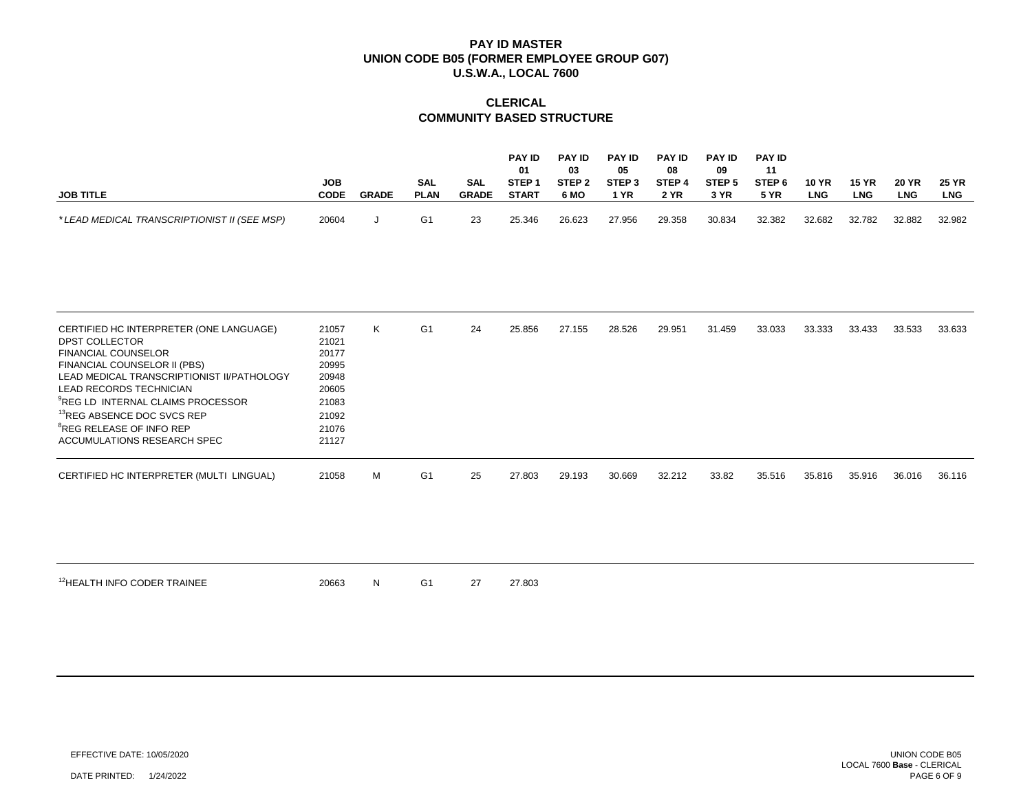# **CLERICAL COMMUNITY BASED STRUCTURE**

|                                             |            |              |             |              | <b>PAY ID</b> | <b>PAY ID</b>     | <b>PAY ID</b>     | <b>PAY ID</b> | <b>PAY ID</b>     | <b>PAY ID</b> |              |              |              |              |
|---------------------------------------------|------------|--------------|-------------|--------------|---------------|-------------------|-------------------|---------------|-------------------|---------------|--------------|--------------|--------------|--------------|
|                                             |            |              |             |              | 01            | 03                | 05                | 08            | 09                |               |              |              |              |              |
|                                             | <b>JOB</b> |              | SAL         | SAL          | STEP *        | STEP <sub>2</sub> | STEP <sub>3</sub> | STEP 4        | STEP <sub>5</sub> | STEP 6        | <b>10 YR</b> | <b>15 YR</b> | <b>20 YR</b> | <b>25 YR</b> |
| <b>JOB TITLE</b>                            | CODE       | <b>GRADE</b> | <b>PLAN</b> | <b>GRADE</b> | <b>START</b>  | 6 MO              | YR                | <b>2 YR</b>   | 3 YR              | <b>5 YR</b>   | LNG          | <b>LNG</b>   | LNG          | <b>LNG</b>   |
|                                             |            |              |             |              |               |                   |                   |               |                   |               |              |              |              |              |
| *LEAD MEDICAL TRANSCRIPTIONIST II (SEE MSP) | 20604      |              | G1          | 23           | 25.346        | 26.623            | 27.956            | 29.358        | 30.834            | 32.382        | 32.682       | 32.782       | 32.882       | 32.982       |

| CERTIFIED HC INTERPRETER (ONE LANGUAGE)<br>DPST COLLECTOR<br><b>FINANCIAL COUNSELOR</b><br>FINANCIAL COUNSELOR II (PBS)<br>LEAD MEDICAL TRANSCRIPTIONIST II/PATHOLOGY<br>LEAD RECORDS TECHNICIAN<br><sup>9</sup> REG LD INTERNAL CLAIMS PROCESSOR | 21057<br>21021<br>20177<br>20995<br>20948<br>20605<br>21083 | K. | G <sub>1</sub> | 24 | 25.856 | 27.155 | 28.526 | 29.951 | 31.459 | 33.033 | 33.333 | 33.433 | 33.533 | 33.633 |
|---------------------------------------------------------------------------------------------------------------------------------------------------------------------------------------------------------------------------------------------------|-------------------------------------------------------------|----|----------------|----|--------|--------|--------|--------|--------|--------|--------|--------|--------|--------|
| <sup>13</sup> REG ABSENCE DOC SVCS REP<br><sup>8</sup> REG RELEASE OF INFO REP<br>ACCUMULATIONS RESEARCH SPEC                                                                                                                                     | 21092<br>21076<br>21127                                     |    |                |    |        |        |        |        |        |        |        |        |        |        |
| CERTIFIED HC INTERPRETER (MULTI LINGUAL)                                                                                                                                                                                                          | 21058                                                       | м  | G <sub>1</sub> | 25 | 27.803 | 29.193 | 30.669 | 32.212 | 33.82  | 35.516 | 35.816 | 35.916 | 36.016 | 36.116 |

<sup>12</sup>HEALTH INFO CODER TRAINEE 20663 N G1 27 27.803

EFFECTIVE DATE: 10/05/2020

DATE PRINTED: 1/24/2022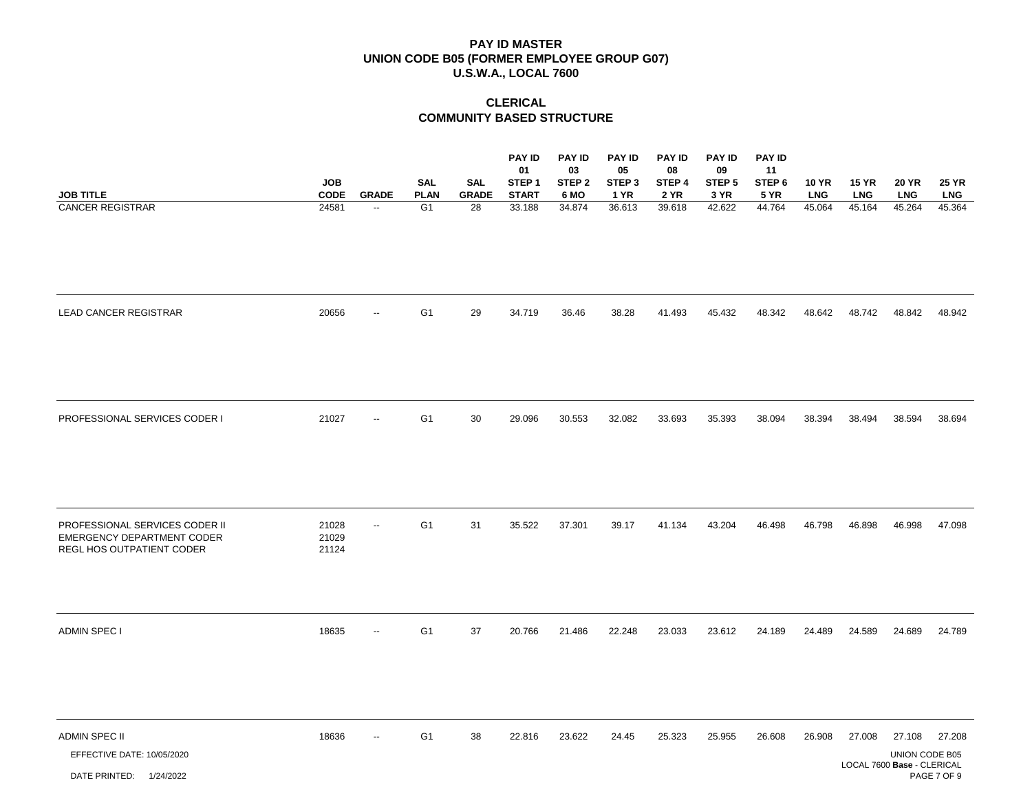|                                                                                                  | <b>JOB</b>              |                                          | <b>SAL</b>                    | <b>SAL</b>         | <b>PAY ID</b><br>01<br>STEP <sub>1</sub> | <b>PAY ID</b><br>03<br>STEP <sub>2</sub> | <b>PAY ID</b><br>05<br>STEP <sub>3</sub> | <b>PAY ID</b><br>08<br>STEP 4 | <b>PAY ID</b><br>09<br>STEP <sub>5</sub> | <b>PAY ID</b><br>11<br>STEP 6 | <b>10 YR</b>         | <b>15 YR</b>         | <b>20 YR</b>                                           | <b>25 YR</b>          |
|--------------------------------------------------------------------------------------------------|-------------------------|------------------------------------------|-------------------------------|--------------------|------------------------------------------|------------------------------------------|------------------------------------------|-------------------------------|------------------------------------------|-------------------------------|----------------------|----------------------|--------------------------------------------------------|-----------------------|
| <b>JOB TITLE</b><br><b>CANCER REGISTRAR</b>                                                      | <b>CODE</b><br>24581    | <b>GRADE</b><br>$\overline{\phantom{a}}$ | <b>PLAN</b><br>G <sub>1</sub> | <b>GRADE</b><br>28 | <b>START</b><br>33.188                   | 6 MO<br>34.874                           | <b>1 YR</b><br>36.613                    | <b>2 YR</b><br>39.618         | 3 YR<br>42.622                           | <b>5 YR</b><br>44.764         | <b>LNG</b><br>45.064 | <b>LNG</b><br>45.164 | <b>LNG</b><br>45.264                                   | <b>LNG</b><br>45.364  |
| LEAD CANCER REGISTRAR                                                                            | 20656                   | $\overline{a}$                           | G <sub>1</sub>                | 29                 | 34.719                                   | 36.46                                    | 38.28                                    | 41.493                        | 45.432                                   | 48.342                        | 48.642               | 48.742               | 48.842                                                 | 48.942                |
| PROFESSIONAL SERVICES CODER I                                                                    | 21027                   | $\overline{\phantom{a}}$                 | G <sub>1</sub>                | 30                 | 29.096                                   | 30.553                                   | 32.082                                   | 33.693                        | 35.393                                   | 38.094                        | 38.394               | 38.494               | 38.594                                                 | 38.694                |
| PROFESSIONAL SERVICES CODER II<br><b>EMERGENCY DEPARTMENT CODER</b><br>REGL HOS OUTPATIENT CODER | 21028<br>21029<br>21124 | $\overline{\phantom{a}}$                 | G <sub>1</sub>                | 31                 | 35.522                                   | 37.301                                   | 39.17                                    | 41.134                        | 43.204                                   | 46.498                        | 46.798               | 46.898               | 46.998                                                 | 47.098                |
| <b>ADMIN SPEC I</b>                                                                              | 18635                   | $\overline{a}$                           | G <sub>1</sub>                | 37                 | 20.766                                   | 21.486                                   | 22.248                                   | 23.033                        | 23.612                                   | 24.189                        | 24.489               | 24.589               | 24.689                                                 | 24.789                |
| <b>ADMIN SPEC II</b><br>EFFECTIVE DATE: 10/05/2020<br>DATE PRINTED: 1/24/2022                    | 18636                   | $\overline{\phantom{a}}$                 | G <sub>1</sub>                | 38                 | 22.816                                   | 23.622                                   | 24.45                                    | 25.323                        | 25.955                                   | 26.608                        | 26.908               | 27.008               | 27.108<br>UNION CODE B05<br>LOCAL 7600 Base - CLERICAL | 27.208<br>PAGE 7 OF 9 |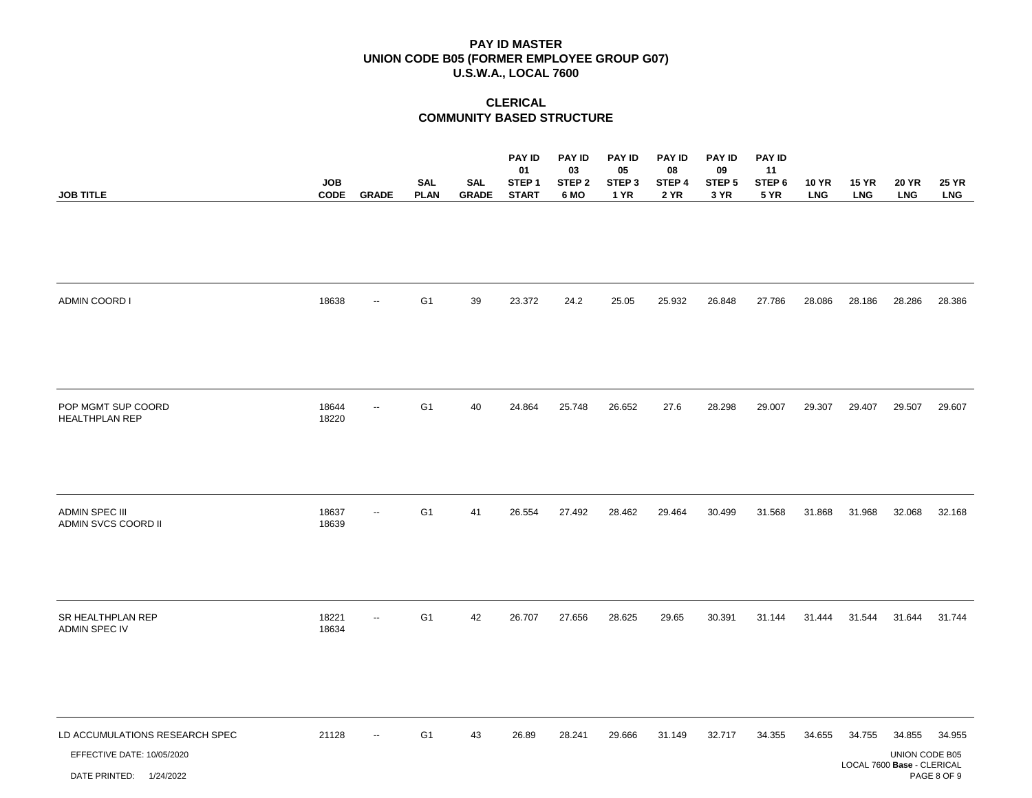| <b>JOB TITLE</b>                                                                        | <b>JOB</b><br><b>CODE</b> | <b>GRADE</b>             | <b>SAL</b><br><b>PLAN</b> | <b>SAL</b><br>GRADE | <b>PAY ID</b><br>01<br>STEP <sub>1</sub><br><b>START</b> | <b>PAY ID</b><br>03<br>STEP <sub>2</sub> | <b>PAY ID</b><br>05<br>STEP <sub>3</sub><br>1 YR | <b>PAY ID</b><br>08<br>STEP 4<br><b>2 YR</b> | <b>PAY ID</b><br>09<br>STEP <sub>5</sub><br>3 YR | <b>PAY ID</b><br>11<br>STEP 6<br><b>5 YR</b> | <b>10 YR</b> | <b>15 YR</b><br><b>LNG</b> | <b>20 YR</b>                                           | <b>25 YR</b>          |
|-----------------------------------------------------------------------------------------|---------------------------|--------------------------|---------------------------|---------------------|----------------------------------------------------------|------------------------------------------|--------------------------------------------------|----------------------------------------------|--------------------------------------------------|----------------------------------------------|--------------|----------------------------|--------------------------------------------------------|-----------------------|
|                                                                                         |                           |                          |                           |                     |                                                          | 6 MO                                     |                                                  |                                              |                                                  |                                              | <b>LNG</b>   |                            | <b>LNG</b>                                             | <b>LNG</b>            |
| <b>ADMIN COORD I</b>                                                                    | 18638                     | $\overline{\phantom{a}}$ | G <sub>1</sub>            | 39                  | 23.372                                                   | 24.2                                     | 25.05                                            | 25.932                                       | 26.848                                           | 27.786                                       | 28.086       | 28.186                     | 28.286                                                 | 28.386                |
| POP MGMT SUP COORD<br><b>HEALTHPLAN REP</b>                                             | 18644<br>18220            | $\overline{\phantom{a}}$ | G <sub>1</sub>            | 40                  | 24.864                                                   | 25.748                                   | 26.652                                           | 27.6                                         | 28.298                                           | 29.007                                       | 29.307       | 29.407                     | 29.507                                                 | 29.607                |
| <b>ADMIN SPEC III</b><br>ADMIN SVCS COORD II                                            | 18637<br>18639            | $\overline{a}$           | G <sub>1</sub>            | 41                  | 26.554                                                   | 27.492                                   | 28.462                                           | 29.464                                       | 30.499                                           | 31.568                                       | 31.868       | 31.968                     | 32.068                                                 | 32.168                |
| SR HEALTHPLAN REP<br>ADMIN SPEC IV                                                      | 18221<br>18634            | $\overline{\phantom{a}}$ | G <sub>1</sub>            | 42                  | 26.707                                                   | 27.656                                   | 28.625                                           | 29.65                                        | 30.391                                           | 31.144                                       | 31.444       | 31.544                     | 31.644                                                 | 31.744                |
| LD ACCUMULATIONS RESEARCH SPEC<br>EFFECTIVE DATE: 10/05/2020<br>DATE PRINTED: 1/24/2022 | 21128                     | $\overline{\phantom{a}}$ | G <sub>1</sub>            | 43                  | 26.89                                                    | 28.241                                   | 29.666                                           | 31.149                                       | 32.717                                           | 34.355                                       | 34.655       | 34.755                     | 34.855<br>UNION CODE B05<br>LOCAL 7600 Base - CLERICAL | 34.955<br>PAGE 8 OF 9 |